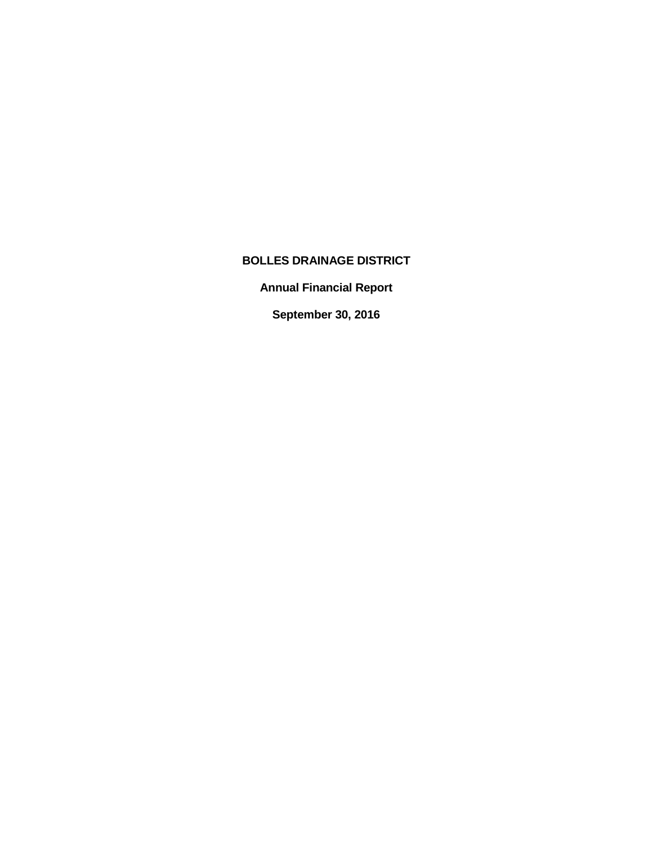# **BOLLES DRAINAGE DISTRICT**

**Annual Financial Report**

**September 30, 2016**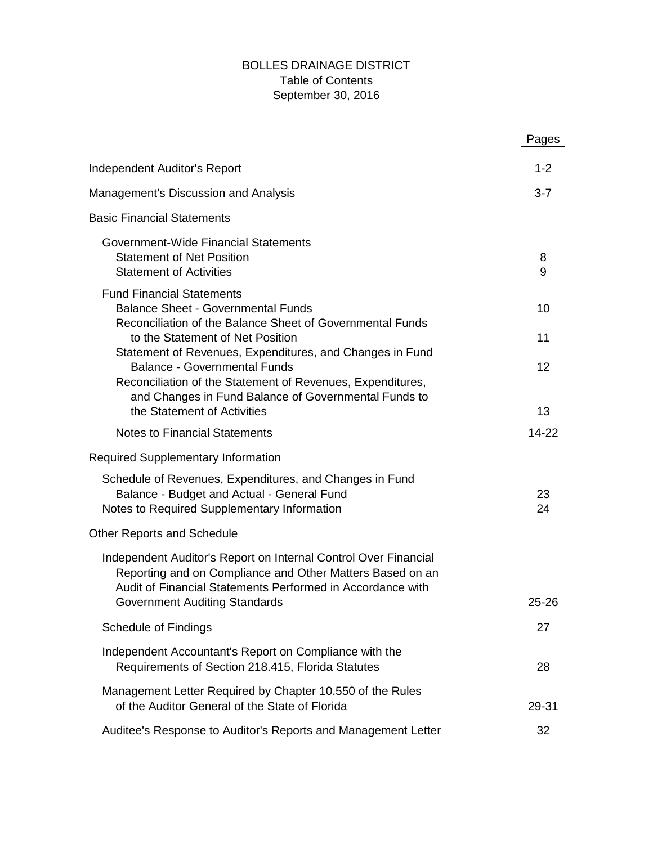# BOLLES DRAINAGE DISTRICT Table of Contents September 30, 2016

|                                                                                                                                                                                            | Pages     |
|--------------------------------------------------------------------------------------------------------------------------------------------------------------------------------------------|-----------|
| Independent Auditor's Report                                                                                                                                                               | $1 - 2$   |
| Management's Discussion and Analysis                                                                                                                                                       | $3 - 7$   |
| <b>Basic Financial Statements</b>                                                                                                                                                          |           |
| Government-Wide Financial Statements<br><b>Statement of Net Position</b><br><b>Statement of Activities</b>                                                                                 | 8<br>9    |
| <b>Fund Financial Statements</b><br><b>Balance Sheet - Governmental Funds</b><br>Reconciliation of the Balance Sheet of Governmental Funds                                                 | 10        |
| to the Statement of Net Position<br>Statement of Revenues, Expenditures, and Changes in Fund                                                                                               | 11        |
| <b>Balance - Governmental Funds</b><br>Reconciliation of the Statement of Revenues, Expenditures,<br>and Changes in Fund Balance of Governmental Funds to                                  | 12        |
| the Statement of Activities                                                                                                                                                                | 13        |
| <b>Notes to Financial Statements</b>                                                                                                                                                       | 14-22     |
| <b>Required Supplementary Information</b>                                                                                                                                                  |           |
| Schedule of Revenues, Expenditures, and Changes in Fund<br>Balance - Budget and Actual - General Fund<br>Notes to Required Supplementary Information                                       | 23<br>24  |
| <b>Other Reports and Schedule</b>                                                                                                                                                          |           |
| Independent Auditor's Report on Internal Control Over Financial<br>Reporting and on Compliance and Other Matters Based on an<br>Audit of Financial Statements Performed in Accordance with |           |
| <b>Government Auditing Standards</b>                                                                                                                                                       | $25 - 26$ |
| <b>Schedule of Findings</b>                                                                                                                                                                | 27        |
| Independent Accountant's Report on Compliance with the<br>Requirements of Section 218.415, Florida Statutes                                                                                | 28        |
| Management Letter Required by Chapter 10.550 of the Rules<br>of the Auditor General of the State of Florida                                                                                | 29-31     |
| Auditee's Response to Auditor's Reports and Management Letter                                                                                                                              | 32        |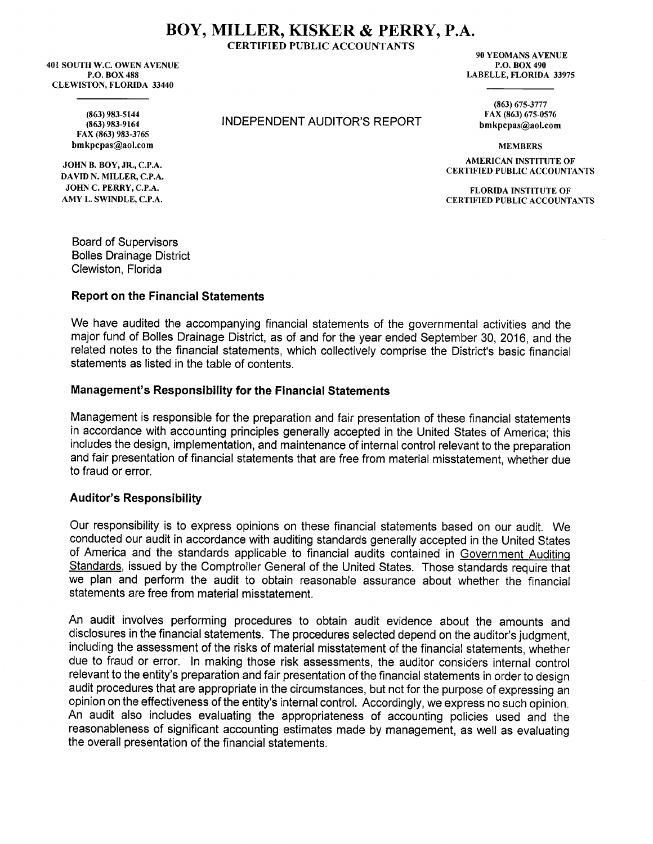# BOY, MILLER, KISKER & PERRY, P.A.

**CERTIFIED PUBLIC ACCOUNTANTS** 

**401 SOUTH W.C. OWEN AVENUE** P.O. BOX 488 **CLEWISTON, FLORIDA 33440** 

> (863) 983-5144  $(863)$  983-9164 FAX (863) 983-3765 bmkpcpas@aol.com

JOHN B. BOY, JR., C.P.A. DAVID N. MILLER, C.P.A. JOHN C. PERRY, C.P.A. AMY L. SWINDLE, C.P.A.

**Board of Supervisors Bolles Drainage District** Clewiston, Florida

## **Report on the Financial Statements**

We have audited the accompanying financial statements of the governmental activities and the major fund of Bolles Drainage District, as of and for the year ended September 30, 2016, and the related notes to the financial statements, which collectively comprise the District's basic financial statements as listed in the table of contents.

# Management's Responsibility for the Financial Statements

Management is responsible for the preparation and fair presentation of these financial statements in accordance with accounting principles generally accepted in the United States of America; this includes the design, implementation, and maintenance of internal control relevant to the preparation and fair presentation of financial statements that are free from material misstatement, whether due to fraud or error.

#### **Auditor's Responsibility**

Our responsibility is to express opinions on these financial statements based on our audit. We conducted our audit in accordance with auditing standards generally accepted in the United States of America and the standards applicable to financial audits contained in Government Auditing Standards, issued by the Comptroller General of the United States. Those standards require that we plan and perform the audit to obtain reasonable assurance about whether the financial statements are free from material misstatement.

An audit involves performing procedures to obtain audit evidence about the amounts and disclosures in the financial statements. The procedures selected depend on the auditor's judgment, including the assessment of the risks of material misstatement of the financial statements, whether due to fraud or error. In making those risk assessments, the auditor considers internal control relevant to the entity's preparation and fair presentation of the financial statements in order to design audit procedures that are appropriate in the circumstances, but not for the purpose of expressing an opinion on the effectiveness of the entity's internal control. Accordingly, we express no such opinion. An audit also includes evaluating the appropriateness of accounting policies used and the reasonableness of significant accounting estimates made by management, as well as evaluating the overall presentation of the financial statements.

INDEPENDENT AUDITOR'S REPORT

**90 YEOMANS AVENUE** P.O. BOX 490 LABELLE, FLORIDA 33975

> $(863) 675 - 3777$ FAX (863) 675-0576 bmkpcpas@aol.com

> > **MEMBERS**

**AMERICAN INSTITUTE OF CERTIFIED PUBLIC ACCOUNTANTS** 

**FLORIDA INSTITUTE OF CERTIFIED PUBLIC ACCOUNTANTS**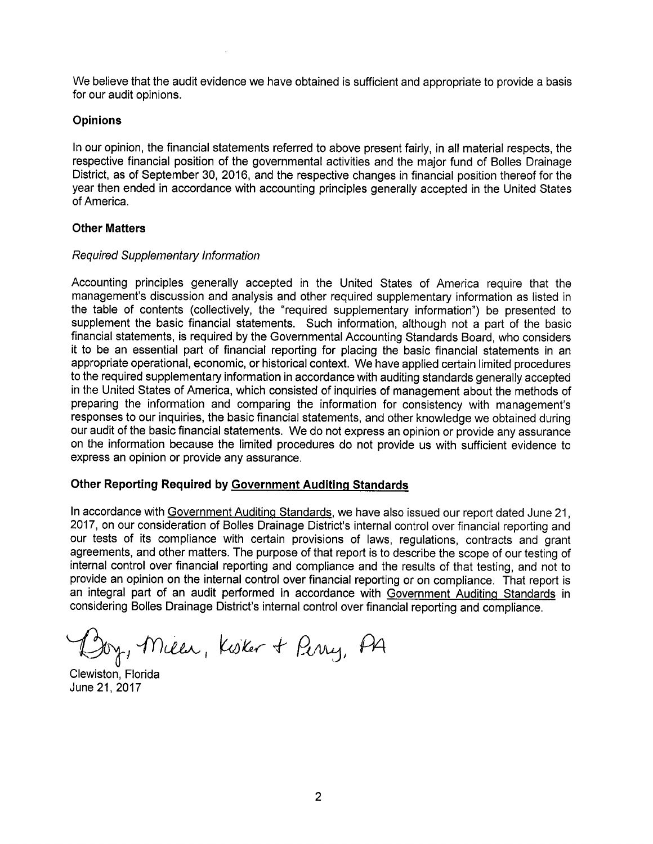We believe that the audit evidence we have obtained is sufficient and appropriate to provide a basis for our audit opinions.

#### **Opinions**

In our opinion, the financial statements referred to above present fairly, in all material respects, the respective financial position of the governmental activities and the maior fund of Bolles Drainage District, as of September 30, 2016, and the respective changes in financial position thereof for the year then ended in accordance with accounting principles generally accepted in the United States of America.

#### **Other Matters**

#### Required Supplementary Information

Accounting principles generally accepted in the United States of America require that the management's discussion and analysis and other required supplementary information as listed in the table of contents (collectively, the "required supplementary information") be presented to supplement the basic financial statements. Such information, although not a part of the basic financial statements, is required by the Governmental Accounting Standards Board, who considers it to be an essential part of financial reporting for placing the basic financial statements in an appropriate operational, economic, or historical context. We have applied certain limited procedures to the required supplementary information in accordance with auditing standards generally accepted in the United States of America, which consisted of inquiries of management about the methods of preparing the information and comparing the information for consistency with management's responses to our inquiries, the basic financial statements, and other knowledge we obtained during our audit of the basic financial statements. We do not express an opinion or provide any assurance on the information because the limited procedures do not provide us with sufficient evidence to express an opinion or provide any assurance.

#### **Other Reporting Required by Government Auditing Standards**

In accordance with Government Auditing Standards, we have also issued our report dated June 21, 2017, on our consideration of Bolles Drainage District's internal control over financial reporting and our tests of its compliance with certain provisions of laws, regulations, contracts and grant agreements, and other matters. The purpose of that report is to describe the scope of our testing of internal control over financial reporting and compliance and the results of that testing, and not to provide an opinion on the internal control over financial reporting or on compliance. That report is an integral part of an audit performed in accordance with Government Auditing Standards in considering Bolles Drainage District's internal control over financial reporting and compliance.

Boy, Milar, Kisker & Perry, PA

Clewiston, Florida June 21, 2017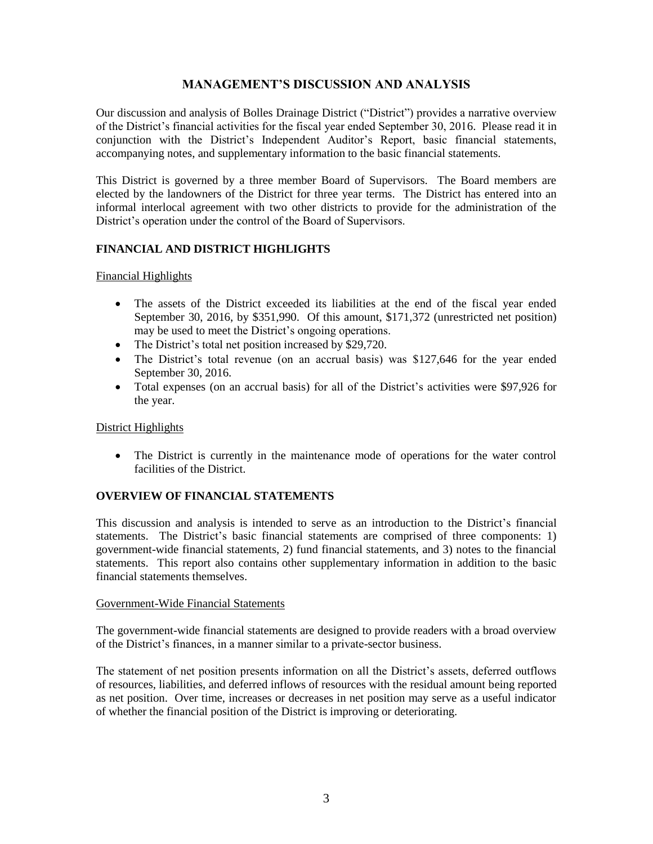# **MANAGEMENT'S DISCUSSION AND ANALYSIS**

Our discussion and analysis of Bolles Drainage District ("District") provides a narrative overview of the District's financial activities for the fiscal year ended September 30, 2016. Please read it in conjunction with the District's Independent Auditor's Report, basic financial statements, accompanying notes, and supplementary information to the basic financial statements.

This District is governed by a three member Board of Supervisors. The Board members are elected by the landowners of the District for three year terms. The District has entered into an informal interlocal agreement with two other districts to provide for the administration of the District's operation under the control of the Board of Supervisors.

## **FINANCIAL AND DISTRICT HIGHLIGHTS**

Financial Highlights

- The assets of the District exceeded its liabilities at the end of the fiscal year ended September 30, 2016, by \$351,990. Of this amount, \$171,372 (unrestricted net position) may be used to meet the District's ongoing operations.
- The District's total net position increased by \$29,720.
- The District's total revenue (on an accrual basis) was \$127,646 for the year ended September 30, 2016.
- Total expenses (on an accrual basis) for all of the District's activities were \$97,926 for the year.

#### District Highlights

 The District is currently in the maintenance mode of operations for the water control facilities of the District.

#### **OVERVIEW OF FINANCIAL STATEMENTS**

This discussion and analysis is intended to serve as an introduction to the District's financial statements. The District's basic financial statements are comprised of three components: 1) government-wide financial statements, 2) fund financial statements, and 3) notes to the financial statements. This report also contains other supplementary information in addition to the basic financial statements themselves.

#### Government-Wide Financial Statements

The government-wide financial statements are designed to provide readers with a broad overview of the District's finances, in a manner similar to a private-sector business.

The statement of net position presents information on all the District's assets, deferred outflows of resources, liabilities, and deferred inflows of resources with the residual amount being reported as net position. Over time, increases or decreases in net position may serve as a useful indicator of whether the financial position of the District is improving or deteriorating.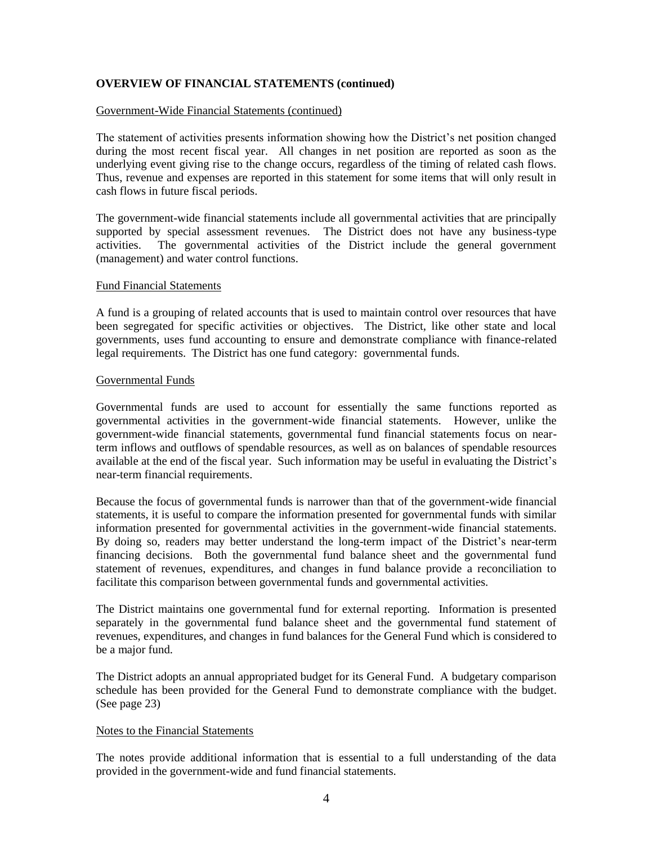#### **OVERVIEW OF FINANCIAL STATEMENTS (continued)**

#### Government-Wide Financial Statements (continued)

The statement of activities presents information showing how the District's net position changed during the most recent fiscal year. All changes in net position are reported as soon as the underlying event giving rise to the change occurs, regardless of the timing of related cash flows. Thus, revenue and expenses are reported in this statement for some items that will only result in cash flows in future fiscal periods.

The government-wide financial statements include all governmental activities that are principally supported by special assessment revenues. The District does not have any business-type activities. The governmental activities of the District include the general government (management) and water control functions.

#### Fund Financial Statements

A fund is a grouping of related accounts that is used to maintain control over resources that have been segregated for specific activities or objectives. The District, like other state and local governments, uses fund accounting to ensure and demonstrate compliance with finance-related legal requirements. The District has one fund category: governmental funds.

#### Governmental Funds

Governmental funds are used to account for essentially the same functions reported as governmental activities in the government-wide financial statements. However, unlike the government-wide financial statements, governmental fund financial statements focus on nearterm inflows and outflows of spendable resources, as well as on balances of spendable resources available at the end of the fiscal year. Such information may be useful in evaluating the District's near-term financial requirements.

Because the focus of governmental funds is narrower than that of the government-wide financial statements, it is useful to compare the information presented for governmental funds with similar information presented for governmental activities in the government-wide financial statements. By doing so, readers may better understand the long-term impact of the District's near-term financing decisions. Both the governmental fund balance sheet and the governmental fund statement of revenues, expenditures, and changes in fund balance provide a reconciliation to facilitate this comparison between governmental funds and governmental activities.

The District maintains one governmental fund for external reporting. Information is presented separately in the governmental fund balance sheet and the governmental fund statement of revenues, expenditures, and changes in fund balances for the General Fund which is considered to be a major fund.

The District adopts an annual appropriated budget for its General Fund. A budgetary comparison schedule has been provided for the General Fund to demonstrate compliance with the budget. (See page 23)

#### Notes to the Financial Statements

The notes provide additional information that is essential to a full understanding of the data provided in the government-wide and fund financial statements.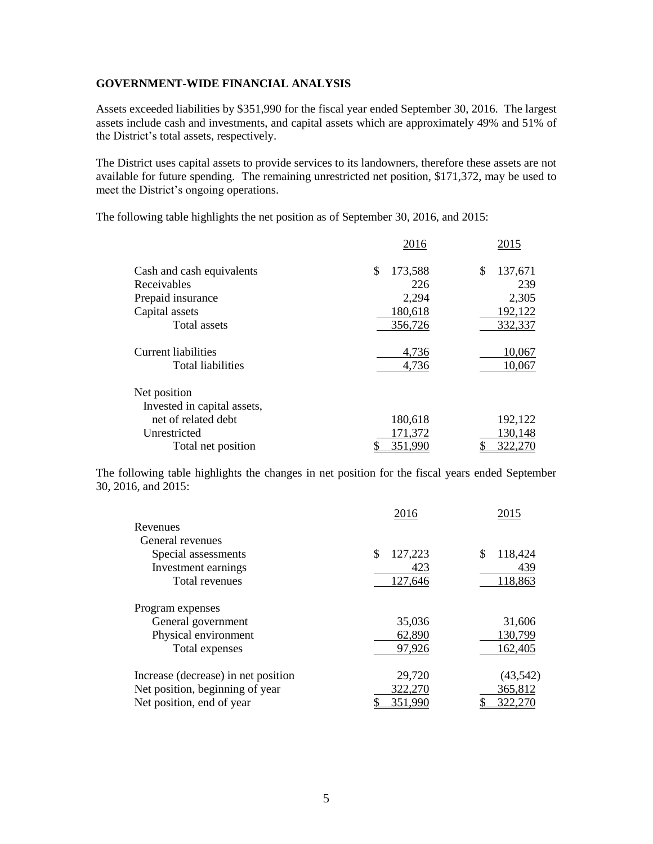# **GOVERNMENT-WIDE FINANCIAL ANALYSIS**

Assets exceeded liabilities by \$351,990 for the fiscal year ended September 30, 2016. The largest assets include cash and investments, and capital assets which are approximately 49% and 51% of the District's total assets, respectively.

The District uses capital assets to provide services to its landowners, therefore these assets are not available for future spending. The remaining unrestricted net position, \$171,372, may be used to meet the District's ongoing operations.

The following table highlights the net position as of September 30, 2016, and 2015:

|                             | 2016          | 2015          |
|-----------------------------|---------------|---------------|
| Cash and cash equivalents   | \$<br>173,588 | \$<br>137,671 |
| Receivables                 | 226           | 239           |
| Prepaid insurance           | 2,294         | 2,305         |
| Capital assets              | 180,618       | 192,122       |
| <b>Total assets</b>         | 356,726       | 332,337       |
| Current liabilities         | 4,736         | 10,067        |
| <b>Total liabilities</b>    | 4,736         | 10,067        |
| Net position                |               |               |
| Invested in capital assets, |               |               |
| net of related debt         | 180,618       | 192,122       |
| Unrestricted                | 171,372       | 130,148       |
| Total net position          | 351,990<br>\$ | 322,270       |

The following table highlights the changes in net position for the fiscal years ended September 30, 2016, and 2015:

|                                     | 2016    | 2015      |
|-------------------------------------|---------|-----------|
| Revenues                            |         |           |
| General revenues                    |         |           |
| Special assessments                 | 127,223 | 118,424   |
| Investment earnings                 | 423     | 439       |
| Total revenues                      | 127,646 | 118,863   |
| Program expenses                    |         |           |
| General government                  | 35,036  | 31,606    |
| Physical environment                | 62,890  | 130,799   |
| Total expenses                      | 97,926  | 162,405   |
| Increase (decrease) in net position | 29,720  | (43, 542) |
| Net position, beginning of year     | 322,270 | 365,812   |
| Net position, end of year           | 351,990 | 322,270   |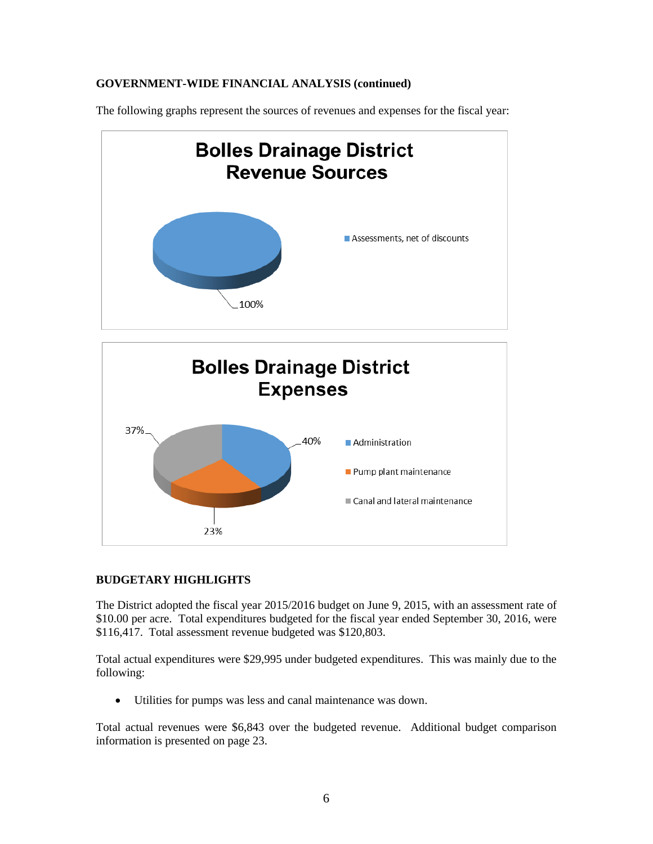## **GOVERNMENT-WIDE FINANCIAL ANALYSIS (continued)**

The following graphs represent the sources of revenues and expenses for the fiscal year:





# **BUDGETARY HIGHLIGHTS**

The District adopted the fiscal year 2015/2016 budget on June 9, 2015, with an assessment rate of \$10.00 per acre. Total expenditures budgeted for the fiscal year ended September 30, 2016, were \$116,417. Total assessment revenue budgeted was \$120,803.

Total actual expenditures were \$29,995 under budgeted expenditures. This was mainly due to the following:

Utilities for pumps was less and canal maintenance was down.

Total actual revenues were \$6,843 over the budgeted revenue. Additional budget comparison information is presented on page 23.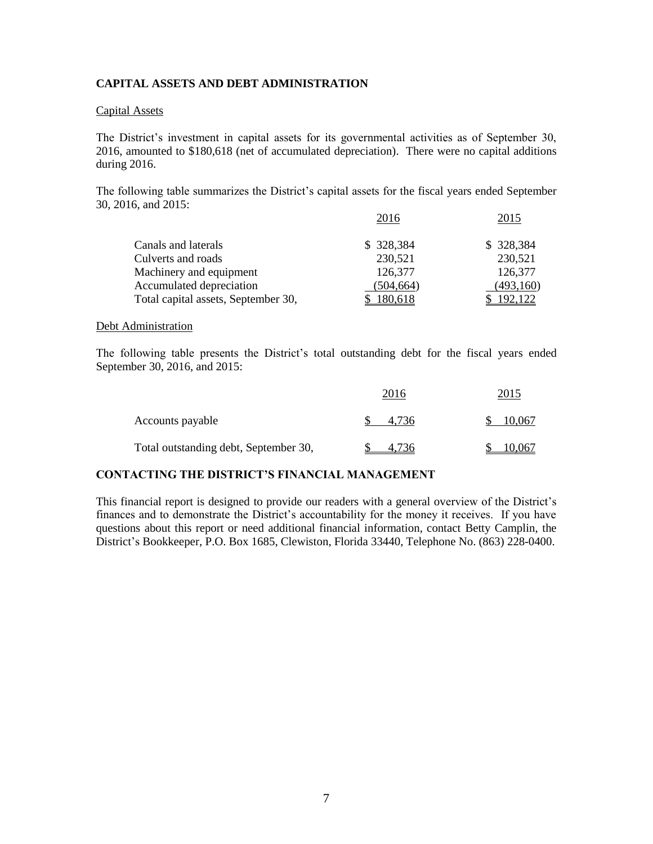### **CAPITAL ASSETS AND DEBT ADMINISTRATION**

#### Capital Assets

The District's investment in capital assets for its governmental activities as of September 30, 2016, amounted to \$180,618 (net of accumulated depreciation). There were no capital additions during 2016.

The following table summarizes the District's capital assets for the fiscal years ended September 30, 2016, and 2015:

|                                     | 2016       | 2015      |
|-------------------------------------|------------|-----------|
| Canals and laterals                 | \$328,384  | \$328,384 |
| Culverts and roads                  | 230,521    | 230,521   |
| Machinery and equipment             | 126,377    | 126,377   |
| Accumulated depreciation            | (504, 664) | (493,160) |
| Total capital assets, September 30, | 180,618    |           |

#### Debt Administration

The following table presents the District's total outstanding debt for the fiscal years ended September 30, 2016, and 2015:

|                                       | 2016  | 2015   |
|---------------------------------------|-------|--------|
| Accounts payable                      | 4.736 | 10,067 |
| Total outstanding debt, September 30, | 4.736 | 10,067 |

# **CONTACTING THE DISTRICT'S FINANCIAL MANAGEMENT**

This financial report is designed to provide our readers with a general overview of the District's finances and to demonstrate the District's accountability for the money it receives. If you have questions about this report or need additional financial information, contact Betty Camplin, the District's Bookkeeper, P.O. Box 1685, Clewiston, Florida 33440, Telephone No. (863) 228-0400.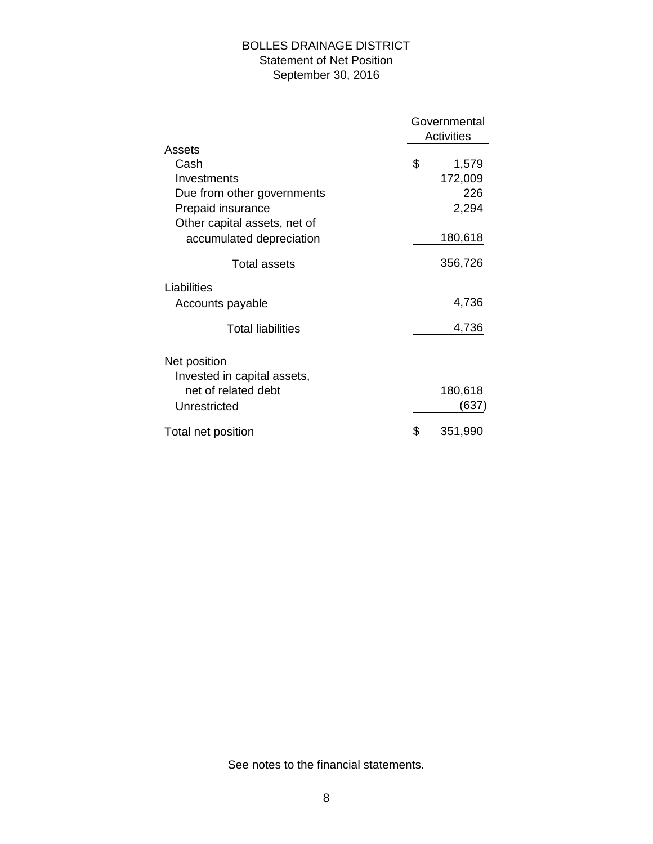# BOLLES DRAINAGE DISTRICT Statement of Net Position September 30, 2016

|                                                 | Governmental<br><b>Activities</b> |
|-------------------------------------------------|-----------------------------------|
| Assets                                          |                                   |
| Cash                                            | \$<br>1,579                       |
| Investments                                     | 172,009                           |
| Due from other governments<br>Prepaid insurance | 226<br>2,294                      |
| Other capital assets, net of                    |                                   |
| accumulated depreciation                        | 180,618                           |
| <b>Total assets</b>                             | 356,726                           |
| Liabilities                                     |                                   |
| Accounts payable                                | 4,736                             |
| <b>Total liabilities</b>                        | 4,736                             |
| Net position                                    |                                   |
| Invested in capital assets,                     |                                   |
| net of related debt                             | 180,618                           |
| Unrestricted                                    | (637)                             |
| Total net position                              | \$<br>351,990                     |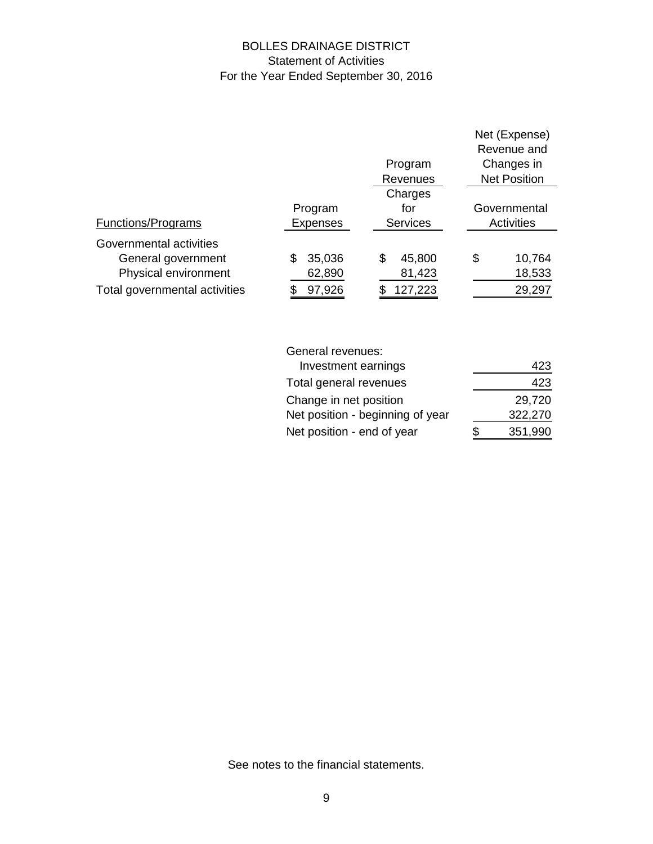# BOLLES DRAINAGE DISTRICT Statement of Activities For the Year Ended September 30, 2016

|                               |                 |                 | Net (Expense)       |
|-------------------------------|-----------------|-----------------|---------------------|
|                               |                 |                 | Revenue and         |
|                               |                 | Program         | Changes in          |
|                               |                 | <b>Revenues</b> | <b>Net Position</b> |
|                               |                 | Charges         |                     |
|                               | Program         | for             | Governmental        |
| Functions/Programs            | <b>Expenses</b> | <b>Services</b> | Activities          |
| Governmental activities       |                 |                 |                     |
| General government            | 35,036<br>\$    | 45,800<br>\$    | \$<br>10,764        |
| Physical environment          | 62,890          | 81,423          | 18,533              |
| Total governmental activities | 97,926<br>\$    | 127,223         | 29,297              |

| General revenues:                |   |         |
|----------------------------------|---|---------|
| Investment earnings              |   | 423     |
| Total general revenues           |   | 423     |
| Change in net position           |   | 29,720  |
| Net position - beginning of year |   | 322,270 |
| Net position - end of year       | S | 351,990 |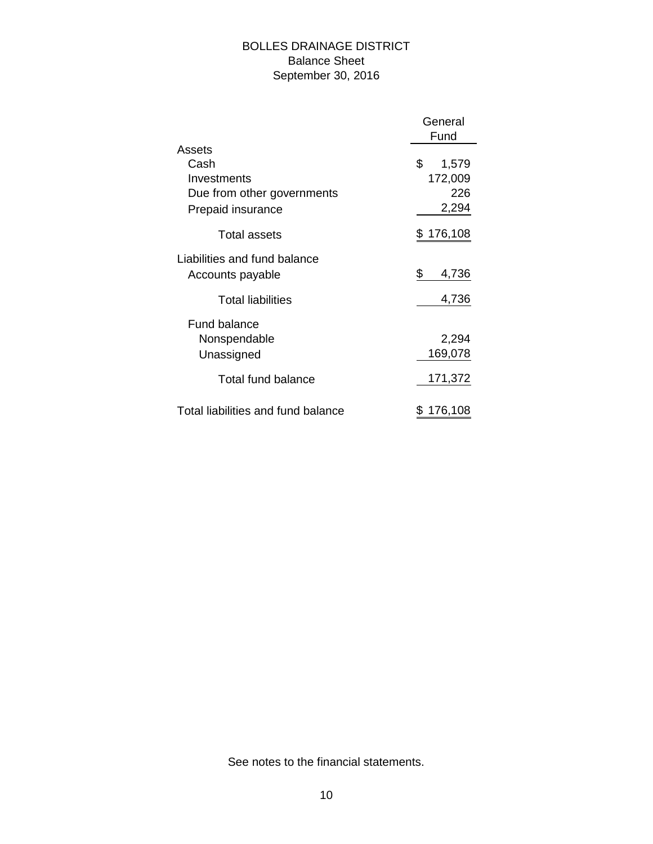# BOLLES DRAINAGE DISTRICT Balance Sheet September 30, 2016

|                                    | General     |
|------------------------------------|-------------|
|                                    | Fund        |
| Assets                             |             |
| Cash                               | \$<br>1,579 |
| Investments                        | 172,009     |
| Due from other governments         | 226         |
| Prepaid insurance                  | 2,294       |
| Total assets                       | \$176,108   |
| Liabilities and fund balance       |             |
| Accounts payable                   | \$<br>4,736 |
| <b>Total liabilities</b>           | 4,736       |
| <b>Fund balance</b>                |             |
| Nonspendable                       | 2,294       |
| Unassigned                         | 169,078     |
| Total fund balance                 | 171,372     |
| Total liabilities and fund balance | 176,108     |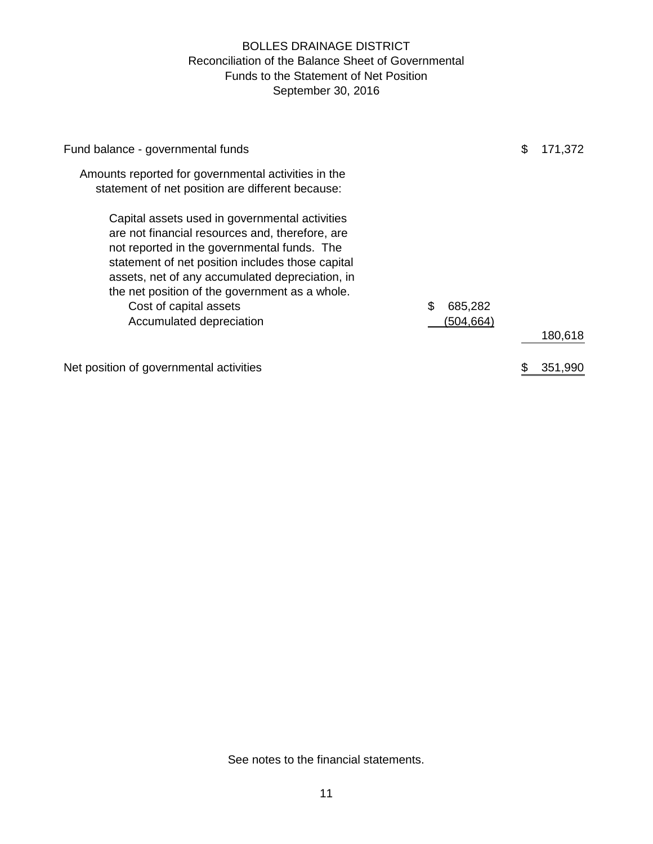# BOLLES DRAINAGE DISTRICT Reconciliation of the Balance Sheet of Governmental Funds to the Statement of Net Position September 30, 2016

| Fund balance - governmental funds                                                                                                                                                                                                                                                                                                                               |                            | \$<br>171,372 |
|-----------------------------------------------------------------------------------------------------------------------------------------------------------------------------------------------------------------------------------------------------------------------------------------------------------------------------------------------------------------|----------------------------|---------------|
| Amounts reported for governmental activities in the<br>statement of net position are different because:                                                                                                                                                                                                                                                         |                            |               |
| Capital assets used in governmental activities<br>are not financial resources and, therefore, are<br>not reported in the governmental funds. The<br>statement of net position includes those capital<br>assets, net of any accumulated depreciation, in<br>the net position of the government as a whole.<br>Cost of capital assets<br>Accumulated depreciation | \$<br>685,282<br>(504,664) | 180,618       |
| Net position of governmental activities                                                                                                                                                                                                                                                                                                                         |                            | 351,990       |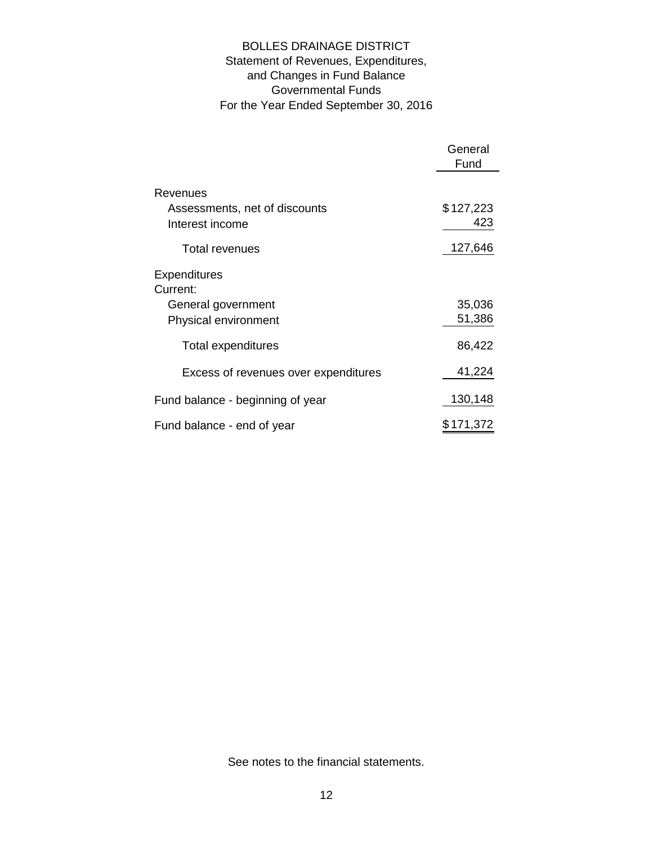# BOLLES DRAINAGE DISTRICT Statement of Revenues, Expenditures, and Changes in Fund Balance Governmental Funds For the Year Ended September 30, 2016

|                                                  | General<br>Fund  |
|--------------------------------------------------|------------------|
| Revenues                                         |                  |
| Assessments, net of discounts<br>Interest income | \$127,223<br>423 |
| Total revenues                                   | 127,646          |
| <b>Expenditures</b><br>Current:                  |                  |
| General government<br>Physical environment       | 35,036<br>51,386 |
| <b>Total expenditures</b>                        | 86,422           |
| Excess of revenues over expenditures             | 41,224           |
| Fund balance - beginning of year                 | 130,148          |
| Fund balance - end of year                       | \$171,372        |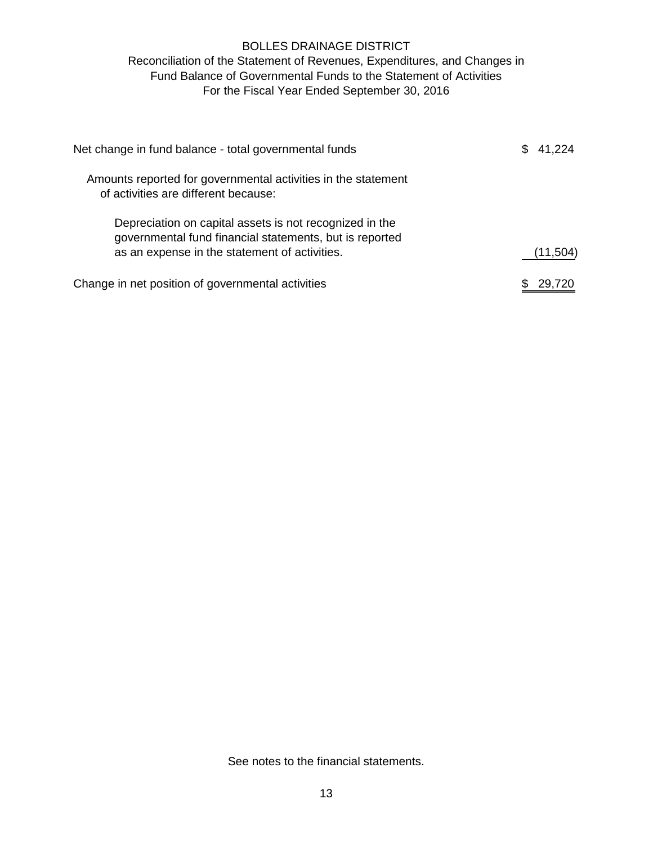# BOLLES DRAINAGE DISTRICT

# Reconciliation of the Statement of Revenues, Expenditures, and Changes in Fund Balance of Governmental Funds to the Statement of Activities For the Fiscal Year Ended September 30, 2016

| Net change in fund balance - total governmental funds                                                                                                               | 41.224   |
|---------------------------------------------------------------------------------------------------------------------------------------------------------------------|----------|
| Amounts reported for governmental activities in the statement<br>of activities are different because:                                                               |          |
| Depreciation on capital assets is not recognized in the<br>governmental fund financial statements, but is reported<br>as an expense in the statement of activities. | (11,504) |
| Change in net position of governmental activities                                                                                                                   | 29,720   |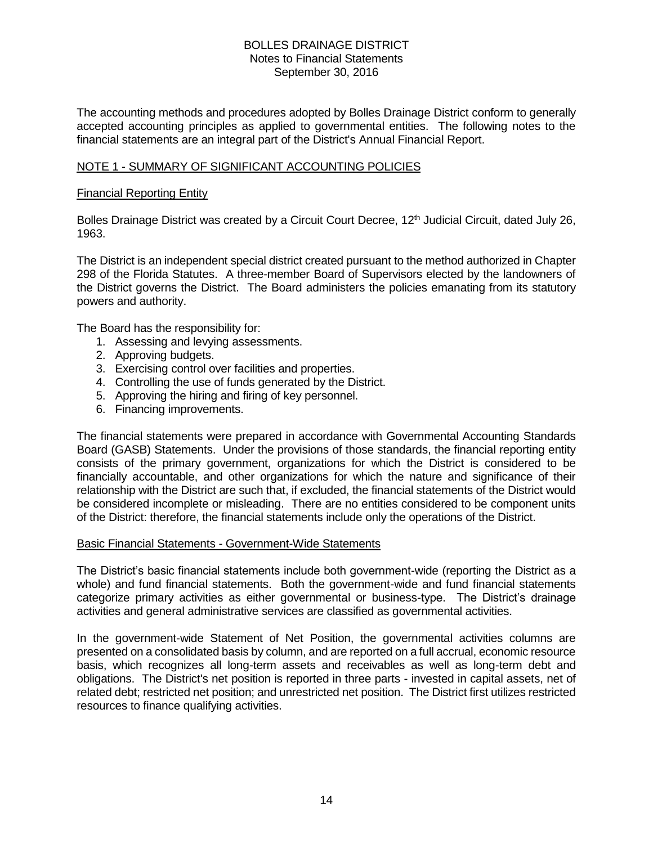The accounting methods and procedures adopted by Bolles Drainage District conform to generally accepted accounting principles as applied to governmental entities. The following notes to the financial statements are an integral part of the District's Annual Financial Report.

# NOTE 1 - SUMMARY OF SIGNIFICANT ACCOUNTING POLICIES

### Financial Reporting Entity

Bolles Drainage District was created by a Circuit Court Decree, 12<sup>th</sup> Judicial Circuit, dated July 26, 1963.

The District is an independent special district created pursuant to the method authorized in Chapter 298 of the Florida Statutes. A three-member Board of Supervisors elected by the landowners of the District governs the District. The Board administers the policies emanating from its statutory powers and authority.

The Board has the responsibility for:

- 1. Assessing and levying assessments.
- 2. Approving budgets.
- 3. Exercising control over facilities and properties.
- 4. Controlling the use of funds generated by the District.
- 5. Approving the hiring and firing of key personnel.
- 6. Financing improvements.

The financial statements were prepared in accordance with Governmental Accounting Standards Board (GASB) Statements. Under the provisions of those standards, the financial reporting entity consists of the primary government, organizations for which the District is considered to be financially accountable, and other organizations for which the nature and significance of their relationship with the District are such that, if excluded, the financial statements of the District would be considered incomplete or misleading. There are no entities considered to be component units of the District: therefore, the financial statements include only the operations of the District.

#### Basic Financial Statements - Government-Wide Statements

The District's basic financial statements include both government-wide (reporting the District as a whole) and fund financial statements. Both the government-wide and fund financial statements categorize primary activities as either governmental or business-type. The District's drainage activities and general administrative services are classified as governmental activities.

In the government-wide Statement of Net Position, the governmental activities columns are presented on a consolidated basis by column, and are reported on a full accrual, economic resource basis, which recognizes all long-term assets and receivables as well as long-term debt and obligations. The District's net position is reported in three parts - invested in capital assets, net of related debt; restricted net position; and unrestricted net position. The District first utilizes restricted resources to finance qualifying activities.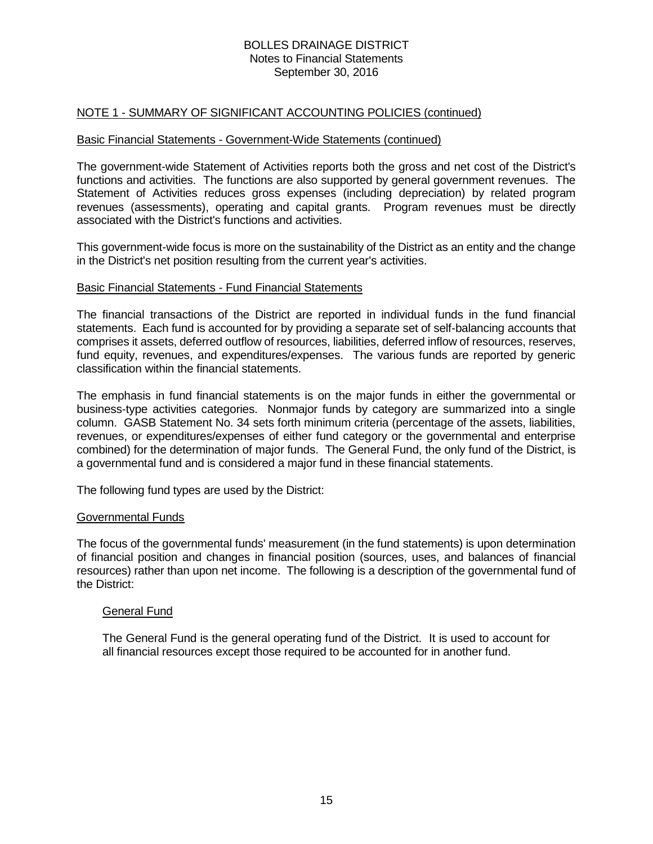### NOTE 1 - SUMMARY OF SIGNIFICANT ACCOUNTING POLICIES (continued)

#### Basic Financial Statements - Government-Wide Statements (continued)

The government-wide Statement of Activities reports both the gross and net cost of the District's functions and activities. The functions are also supported by general government revenues. The Statement of Activities reduces gross expenses (including depreciation) by related program revenues (assessments), operating and capital grants. Program revenues must be directly associated with the District's functions and activities.

This government-wide focus is more on the sustainability of the District as an entity and the change in the District's net position resulting from the current year's activities.

#### Basic Financial Statements - Fund Financial Statements

The financial transactions of the District are reported in individual funds in the fund financial statements. Each fund is accounted for by providing a separate set of self-balancing accounts that comprises it assets, deferred outflow of resources, liabilities, deferred inflow of resources, reserves, fund equity, revenues, and expenditures/expenses. The various funds are reported by generic classification within the financial statements.

The emphasis in fund financial statements is on the major funds in either the governmental or business-type activities categories. Nonmajor funds by category are summarized into a single column. GASB Statement No. 34 sets forth minimum criteria (percentage of the assets, liabilities, revenues, or expenditures/expenses of either fund category or the governmental and enterprise combined) for the determination of major funds. The General Fund, the only fund of the District, is a governmental fund and is considered a major fund in these financial statements.

The following fund types are used by the District:

#### Governmental Funds

The focus of the governmental funds' measurement (in the fund statements) is upon determination of financial position and changes in financial position (sources, uses, and balances of financial resources) rather than upon net income. The following is a description of the governmental fund of the District:

#### General Fund

The General Fund is the general operating fund of the District. It is used to account for all financial resources except those required to be accounted for in another fund.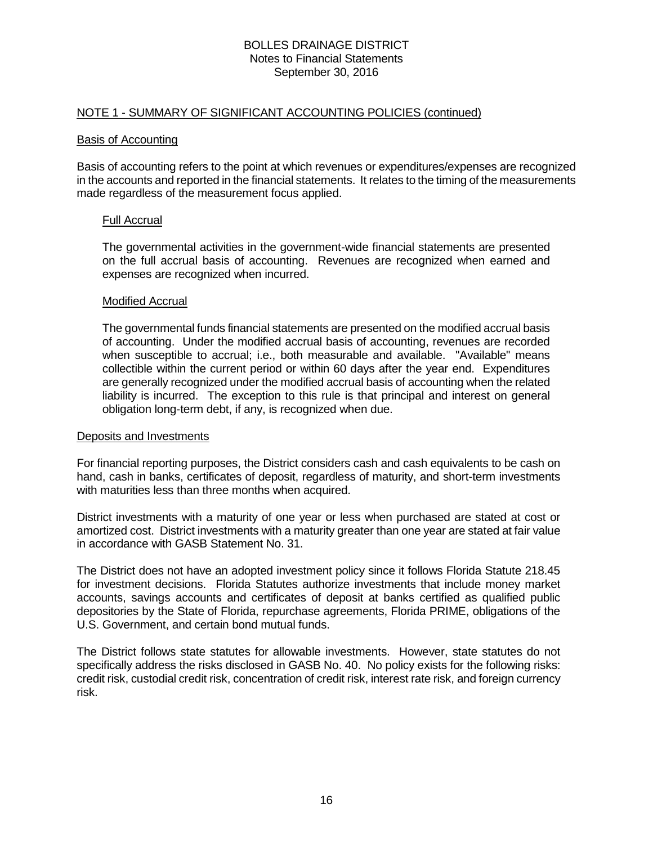#### NOTE 1 - SUMMARY OF SIGNIFICANT ACCOUNTING POLICIES (continued)

#### Basis of Accounting

Basis of accounting refers to the point at which revenues or expenditures/expenses are recognized in the accounts and reported in the financial statements. It relates to the timing of the measurements made regardless of the measurement focus applied.

#### Full Accrual

The governmental activities in the government-wide financial statements are presented on the full accrual basis of accounting. Revenues are recognized when earned and expenses are recognized when incurred.

#### Modified Accrual

The governmental funds financial statements are presented on the modified accrual basis of accounting. Under the modified accrual basis of accounting, revenues are recorded when susceptible to accrual; i.e., both measurable and available. "Available" means collectible within the current period or within 60 days after the year end. Expenditures are generally recognized under the modified accrual basis of accounting when the related liability is incurred. The exception to this rule is that principal and interest on general obligation long-term debt, if any, is recognized when due.

#### Deposits and Investments

For financial reporting purposes, the District considers cash and cash equivalents to be cash on hand, cash in banks, certificates of deposit, regardless of maturity, and short-term investments with maturities less than three months when acquired.

District investments with a maturity of one year or less when purchased are stated at cost or amortized cost. District investments with a maturity greater than one year are stated at fair value in accordance with GASB Statement No. 31.

The District does not have an adopted investment policy since it follows Florida Statute 218.45 for investment decisions. Florida Statutes authorize investments that include money market accounts, savings accounts and certificates of deposit at banks certified as qualified public depositories by the State of Florida, repurchase agreements, Florida PRIME, obligations of the U.S. Government, and certain bond mutual funds.

The District follows state statutes for allowable investments. However, state statutes do not specifically address the risks disclosed in GASB No. 40. No policy exists for the following risks: credit risk, custodial credit risk, concentration of credit risk, interest rate risk, and foreign currency risk.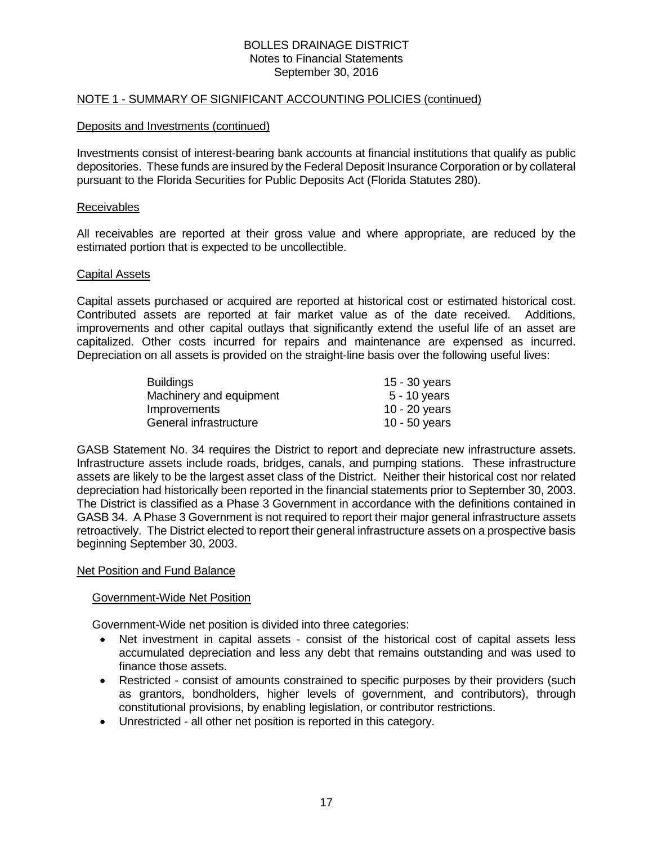## NOTE 1 - SUMMARY OF SIGNIFICANT ACCOUNTING POLICIES (continued)

#### Deposits and Investments (continued)

Investments consist of interest-bearing bank accounts at financial institutions that qualify as public depositories. These funds are insured by the Federal Deposit Insurance Corporation or by collateral pursuant to the Florida Securities for Public Deposits Act (Florida Statutes 280).

#### Receivables

All receivables are reported at their gross value and where appropriate, are reduced by the estimated portion that is expected to be uncollectible.

#### Capital Assets

Capital assets purchased or acquired are reported at historical cost or estimated historical cost. Contributed assets are reported at fair market value as of the date received. Additions, improvements and other capital outlays that significantly extend the useful life of an asset are capitalized. Other costs incurred for repairs and maintenance are expensed as incurred. Depreciation on all assets is provided on the straight-line basis over the following useful lives:

| <b>Buildings</b>        | $15 - 30$ years |
|-------------------------|-----------------|
| Machinery and equipment | $5 - 10$ years  |
| <b>Improvements</b>     | $10 - 20$ years |
| General infrastructure  | 10 - 50 years   |

GASB Statement No. 34 requires the District to report and depreciate new infrastructure assets. Infrastructure assets include roads, bridges, canals, and pumping stations. These infrastructure assets are likely to be the largest asset class of the District. Neither their historical cost nor related depreciation had historically been reported in the financial statements prior to September 30, 2003. The District is classified as a Phase 3 Government in accordance with the definitions contained in GASB 34. A Phase 3 Government is not required to report their major general infrastructure assets retroactively. The District elected to report their general infrastructure assets on a prospective basis beginning September 30, 2003.

#### Net Position and Fund Balance

#### Government-Wide Net Position

Government-Wide net position is divided into three categories:

- Net investment in capital assets consist of the historical cost of capital assets less accumulated depreciation and less any debt that remains outstanding and was used to finance those assets.
- Restricted consist of amounts constrained to specific purposes by their providers (such as grantors, bondholders, higher levels of government, and contributors), through constitutional provisions, by enabling legislation, or contributor restrictions.
- Unrestricted all other net position is reported in this category.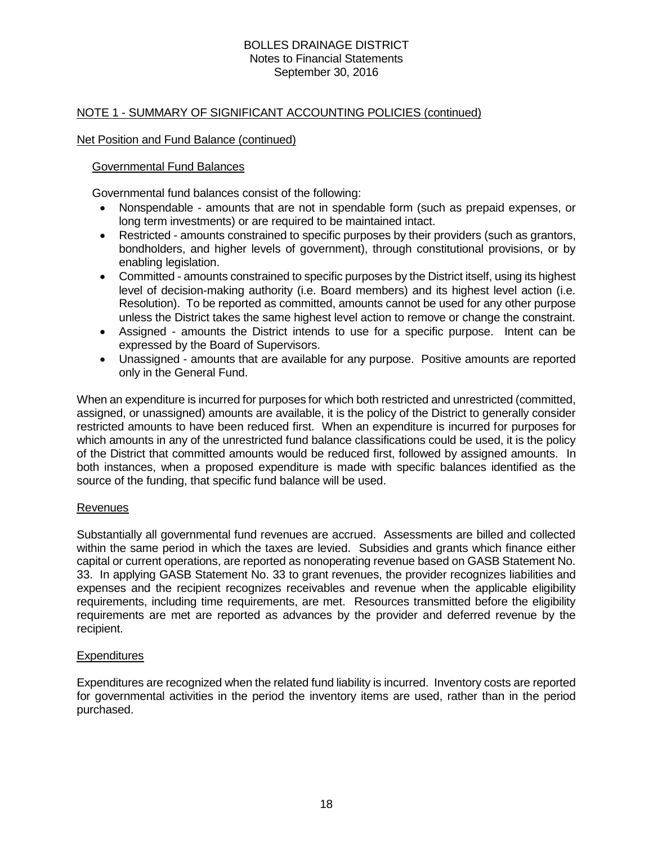## NOTE 1 - SUMMARY OF SIGNIFICANT ACCOUNTING POLICIES (continued)

## Net Position and Fund Balance (continued)

### Governmental Fund Balances

Governmental fund balances consist of the following:

- Nonspendable amounts that are not in spendable form (such as prepaid expenses, or long term investments) or are required to be maintained intact.
- Restricted amounts constrained to specific purposes by their providers (such as grantors, bondholders, and higher levels of government), through constitutional provisions, or by enabling legislation.
- Committed amounts constrained to specific purposes by the District itself, using its highest level of decision-making authority (i.e. Board members) and its highest level action (i.e. Resolution). To be reported as committed, amounts cannot be used for any other purpose unless the District takes the same highest level action to remove or change the constraint.
- Assigned amounts the District intends to use for a specific purpose. Intent can be expressed by the Board of Supervisors.
- Unassigned amounts that are available for any purpose. Positive amounts are reported only in the General Fund.

When an expenditure is incurred for purposes for which both restricted and unrestricted (committed, assigned, or unassigned) amounts are available, it is the policy of the District to generally consider restricted amounts to have been reduced first. When an expenditure is incurred for purposes for which amounts in any of the unrestricted fund balance classifications could be used, it is the policy of the District that committed amounts would be reduced first, followed by assigned amounts. In both instances, when a proposed expenditure is made with specific balances identified as the source of the funding, that specific fund balance will be used.

#### Revenues

Substantially all governmental fund revenues are accrued. Assessments are billed and collected within the same period in which the taxes are levied. Subsidies and grants which finance either capital or current operations, are reported as nonoperating revenue based on GASB Statement No. 33. In applying GASB Statement No. 33 to grant revenues, the provider recognizes liabilities and expenses and the recipient recognizes receivables and revenue when the applicable eligibility requirements, including time requirements, are met. Resources transmitted before the eligibility requirements are met are reported as advances by the provider and deferred revenue by the recipient.

#### **Expenditures**

Expenditures are recognized when the related fund liability is incurred. Inventory costs are reported for governmental activities in the period the inventory items are used, rather than in the period purchased.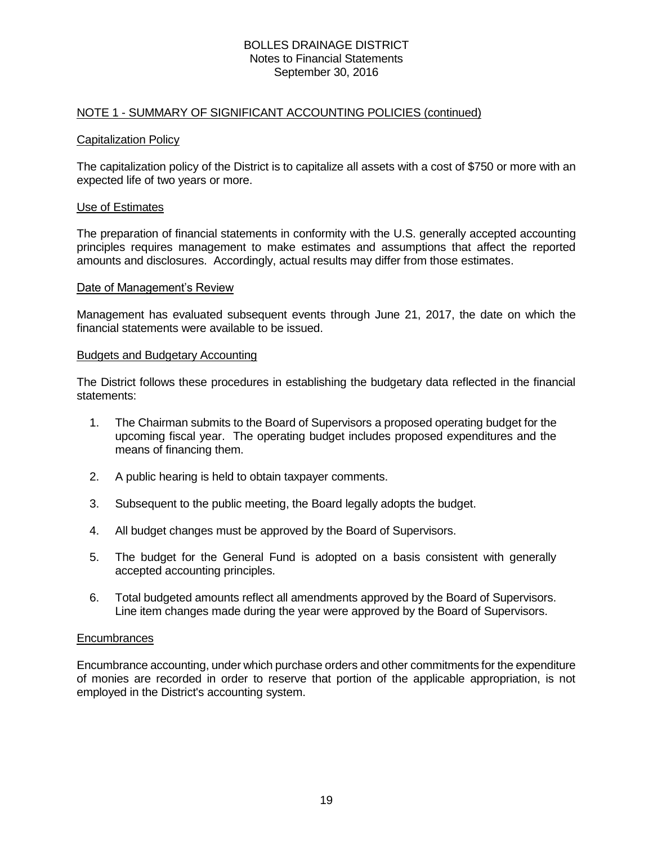#### NOTE 1 - SUMMARY OF SIGNIFICANT ACCOUNTING POLICIES (continued)

#### Capitalization Policy

The capitalization policy of the District is to capitalize all assets with a cost of \$750 or more with an expected life of two years or more.

#### Use of Estimates

The preparation of financial statements in conformity with the U.S. generally accepted accounting principles requires management to make estimates and assumptions that affect the reported amounts and disclosures. Accordingly, actual results may differ from those estimates.

#### Date of Management's Review

Management has evaluated subsequent events through June 21, 2017, the date on which the financial statements were available to be issued.

#### Budgets and Budgetary Accounting

The District follows these procedures in establishing the budgetary data reflected in the financial statements:

- 1. The Chairman submits to the Board of Supervisors a proposed operating budget for the upcoming fiscal year. The operating budget includes proposed expenditures and the means of financing them.
- 2. A public hearing is held to obtain taxpayer comments.
- 3. Subsequent to the public meeting, the Board legally adopts the budget.
- 4. All budget changes must be approved by the Board of Supervisors.
- 5. The budget for the General Fund is adopted on a basis consistent with generally accepted accounting principles.
- 6. Total budgeted amounts reflect all amendments approved by the Board of Supervisors. Line item changes made during the year were approved by the Board of Supervisors.

#### **Encumbrances**

Encumbrance accounting, under which purchase orders and other commitments for the expenditure of monies are recorded in order to reserve that portion of the applicable appropriation, is not employed in the District's accounting system.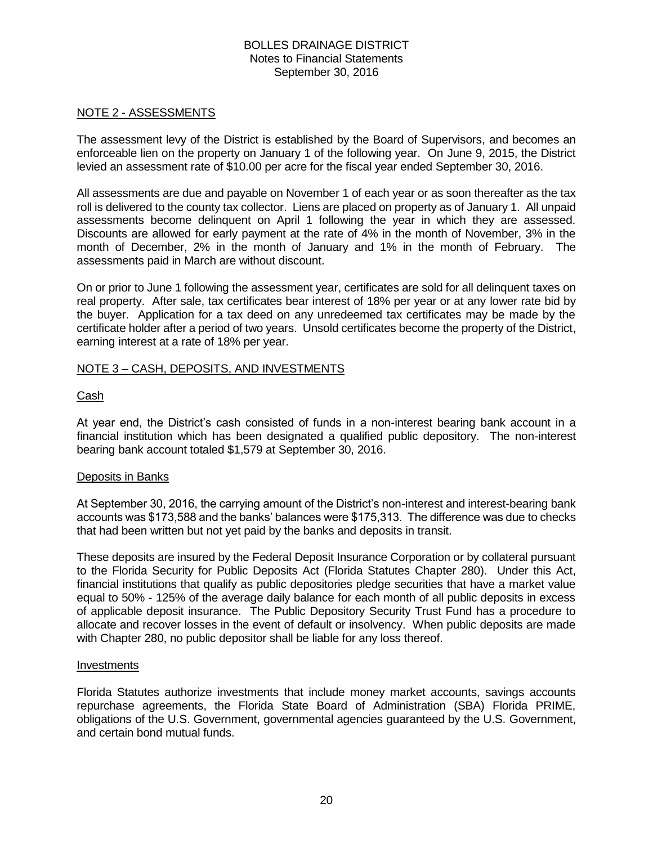#### NOTE 2 - ASSESSMENTS

The assessment levy of the District is established by the Board of Supervisors, and becomes an enforceable lien on the property on January 1 of the following year. On June 9, 2015, the District levied an assessment rate of \$10.00 per acre for the fiscal year ended September 30, 2016.

All assessments are due and payable on November 1 of each year or as soon thereafter as the tax roll is delivered to the county tax collector. Liens are placed on property as of January 1. All unpaid assessments become delinquent on April 1 following the year in which they are assessed. Discounts are allowed for early payment at the rate of 4% in the month of November, 3% in the month of December, 2% in the month of January and 1% in the month of February. The assessments paid in March are without discount.

On or prior to June 1 following the assessment year, certificates are sold for all delinquent taxes on real property. After sale, tax certificates bear interest of 18% per year or at any lower rate bid by the buyer. Application for a tax deed on any unredeemed tax certificates may be made by the certificate holder after a period of two years. Unsold certificates become the property of the District, earning interest at a rate of 18% per year.

## NOTE 3 – CASH, DEPOSITS, AND INVESTMENTS

#### Cash

At year end, the District's cash consisted of funds in a non-interest bearing bank account in a financial institution which has been designated a qualified public depository. The non-interest bearing bank account totaled \$1,579 at September 30, 2016.

#### Deposits in Banks

At September 30, 2016, the carrying amount of the District's non-interest and interest-bearing bank accounts was \$173,588 and the banks' balances were \$175,313. The difference was due to checks that had been written but not yet paid by the banks and deposits in transit.

These deposits are insured by the Federal Deposit Insurance Corporation or by collateral pursuant to the Florida Security for Public Deposits Act (Florida Statutes Chapter 280). Under this Act, financial institutions that qualify as public depositories pledge securities that have a market value equal to 50% - 125% of the average daily balance for each month of all public deposits in excess of applicable deposit insurance. The Public Depository Security Trust Fund has a procedure to allocate and recover losses in the event of default or insolvency. When public deposits are made with Chapter 280, no public depositor shall be liable for any loss thereof.

#### Investments

Florida Statutes authorize investments that include money market accounts, savings accounts repurchase agreements, the Florida State Board of Administration (SBA) Florida PRIME, obligations of the U.S. Government, governmental agencies guaranteed by the U.S. Government, and certain bond mutual funds.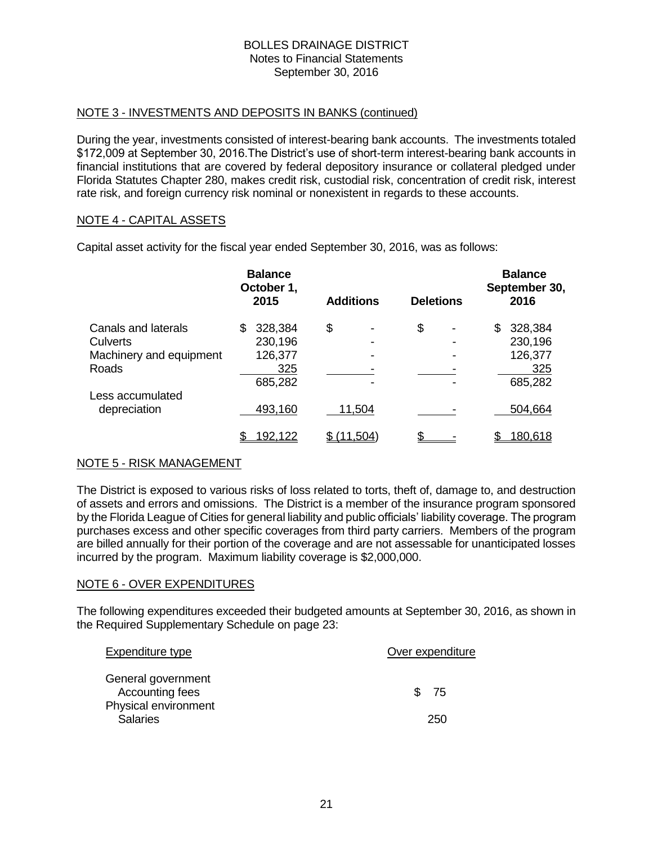## NOTE 3 - INVESTMENTS AND DEPOSITS IN BANKS (continued)

During the year, investments consisted of interest-bearing bank accounts. The investments totaled \$172,009 at September 30, 2016.The District's use of short-term interest-bearing bank accounts in financial institutions that are covered by federal depository insurance or collateral pledged under Florida Statutes Chapter 280, makes credit risk, custodial risk, concentration of credit risk, interest rate risk, and foreign currency risk nominal or nonexistent in regards to these accounts.

#### NOTE 4 - CAPITAL ASSETS

**Balance Balance Balance Balance Balance October 1, September 30, September 30, September 30, September 30, September 30, September 30, September 30, September 30, September 30, September 30, September 30, September 30, September 30, September 30, September 30, 2015 Additions Deletions 2016**  Canals and laterals  $\begin{array}{cccc} \text{$} & 328,384 & \text{$} & - & \text{$} & - & \text{$} & 328,384 \end{array}$ Culverts 230,196 - - 230,196 Machinery and equipment 126,377 - The contract of the 126,377 Roads 325 - - 325 685,282 - - 685,282 Less accumulated depreciation 493,160 11,504 - 504,664  $$192,122$   $$(11,504)$   $$180,618$ 

Capital asset activity for the fiscal year ended September 30, 2016, was as follows:

# NOTE 5 - RISK MANAGEMENT

The District is exposed to various risks of loss related to torts, theft of, damage to, and destruction of assets and errors and omissions. The District is a member of the insurance program sponsored by the Florida League of Cities for general liability and public officials' liability coverage. The program purchases excess and other specific coverages from third party carriers. Members of the program are billed annually for their portion of the coverage and are not assessable for unanticipated losses incurred by the program. Maximum liability coverage is \$2,000,000.

#### NOTE 6 - OVER EXPENDITURES

The following expenditures exceeded their budgeted amounts at September 30, 2016, as shown in the Required Supplementary Schedule on page 23:

| Expenditure type                                              | Over expenditure |  |
|---------------------------------------------------------------|------------------|--|
| General government<br>Accounting fees<br>Physical environment | \$75             |  |
| <b>Salaries</b>                                               | 250              |  |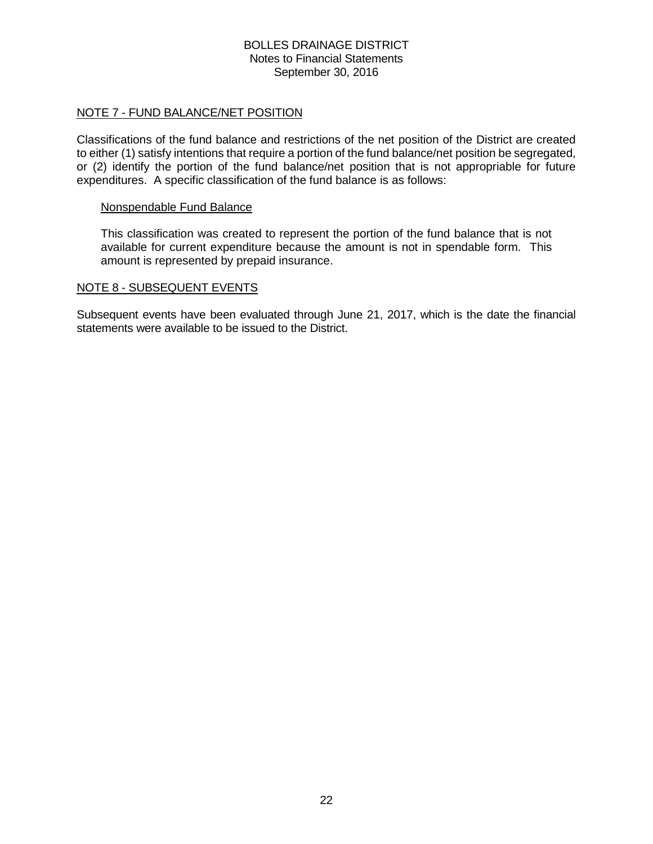#### NOTE 7 - FUND BALANCE/NET POSITION

Classifications of the fund balance and restrictions of the net position of the District are created to either (1) satisfy intentions that require a portion of the fund balance/net position be segregated, or (2) identify the portion of the fund balance/net position that is not appropriable for future expenditures. A specific classification of the fund balance is as follows:

#### Nonspendable Fund Balance

This classification was created to represent the portion of the fund balance that is not available for current expenditure because the amount is not in spendable form. This amount is represented by prepaid insurance.

#### NOTE 8 - SUBSEQUENT EVENTS

Subsequent events have been evaluated through June 21, 2017, which is the date the financial statements were available to be issued to the District.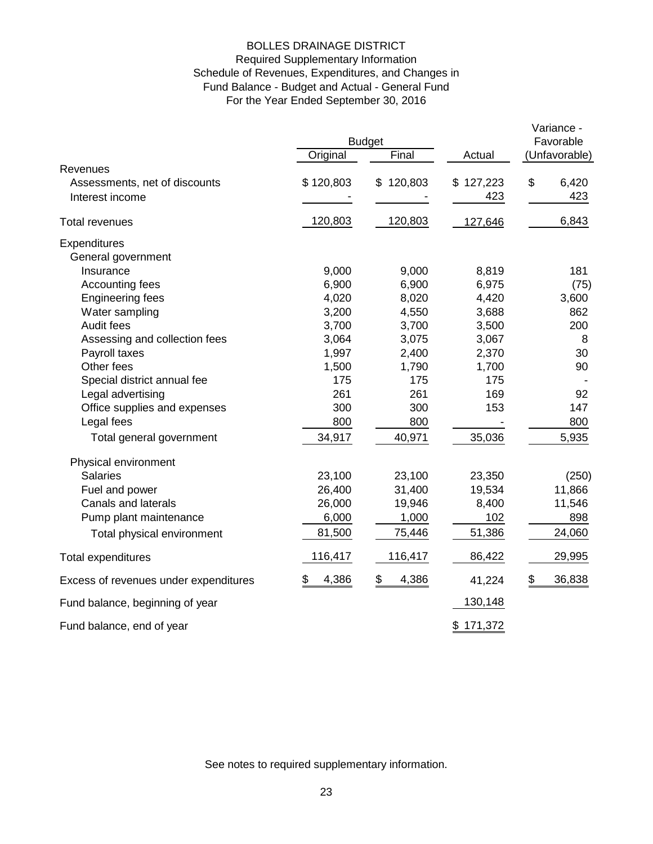# For the Year Ended September 30, 2016 BOLLES DRAINAGE DISTRICT Schedule of Revenues, Expenditures, and Changes in Fund Balance - Budget and Actual - General Fund Required Supplementary Information

|                                                              | <b>Budget</b> |               |                  | Variance -<br>Favorable            |
|--------------------------------------------------------------|---------------|---------------|------------------|------------------------------------|
|                                                              | Original      | Final         | Actual           | (Unfavorable)                      |
| Revenues<br>Assessments, net of discounts<br>Interest income | \$120,803     | 120,803<br>\$ | \$127,223<br>423 | \$<br>6,420<br>423                 |
| <b>Total revenues</b>                                        | 120,803       | 120,803       | 127,646          | 6,843                              |
| Expenditures<br>General government                           |               |               |                  |                                    |
| Insurance                                                    | 9,000         | 9,000         | 8,819            | 181                                |
| Accounting fees                                              | 6,900         | 6,900         | 6,975            | (75)                               |
| <b>Engineering fees</b>                                      | 4,020         | 8,020         | 4,420            | 3,600                              |
| Water sampling                                               | 3,200         | 4,550         | 3,688            | 862                                |
| Audit fees                                                   | 3,700         | 3,700         | 3,500            | 200                                |
| Assessing and collection fees                                | 3,064         | 3,075         | 3,067            | 8                                  |
| Payroll taxes                                                | 1,997         | 2,400         | 2,370            | 30                                 |
| Other fees                                                   | 1,500         | 1,790         | 1,700            | 90                                 |
| Special district annual fee                                  | 175           | 175           | 175              |                                    |
| Legal advertising                                            | 261           | 261           | 169              | 92                                 |
| Office supplies and expenses                                 | 300           | 300           | 153              | 147                                |
| Legal fees                                                   | 800           | 800           |                  | 800                                |
| Total general government                                     | 34,917        | 40,971        | 35,036           | 5,935                              |
| Physical environment                                         |               |               |                  |                                    |
| <b>Salaries</b>                                              | 23,100        | 23,100        | 23,350           | (250)                              |
| Fuel and power                                               | 26,400        | 31,400        | 19,534           | 11,866                             |
| Canals and laterals                                          | 26,000        | 19,946        | 8,400            | 11,546                             |
| Pump plant maintenance                                       | 6,000         | 1,000         | 102              | 898                                |
| Total physical environment                                   | 81,500        | 75,446        | 51,386           | 24,060                             |
| <b>Total expenditures</b>                                    | 116,417       | 116,417       | 86,422           | 29,995                             |
| Excess of revenues under expenditures                        | \$<br>4,386   | \$<br>4,386   | 41,224           | $\overline{\mathcal{L}}$<br>36,838 |
| Fund balance, beginning of year                              |               |               | 130,148          |                                    |
| Fund balance, end of year                                    |               |               | \$171,372        |                                    |

See notes to required supplementary information.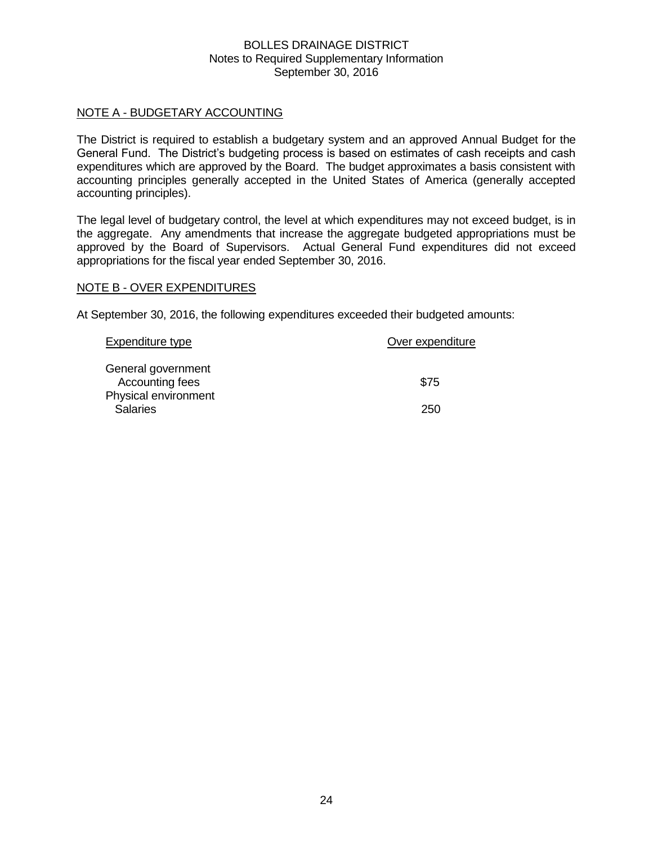#### BOLLES DRAINAGE DISTRICT Notes to Required Supplementary Information September 30, 2016

## NOTE A - BUDGETARY ACCOUNTING

The District is required to establish a budgetary system and an approved Annual Budget for the General Fund. The District's budgeting process is based on estimates of cash receipts and cash expenditures which are approved by the Board. The budget approximates a basis consistent with accounting principles generally accepted in the United States of America (generally accepted accounting principles).

The legal level of budgetary control, the level at which expenditures may not exceed budget, is in the aggregate. Any amendments that increase the aggregate budgeted appropriations must be approved by the Board of Supervisors. Actual General Fund expenditures did not exceed appropriations for the fiscal year ended September 30, 2016.

#### NOTE B - OVER EXPENDITURES

At September 30, 2016, the following expenditures exceeded their budgeted amounts:

| Expenditure type     | Over expenditure |
|----------------------|------------------|
| General government   |                  |
| Accounting fees      | \$75             |
| Physical environment |                  |
| <b>Salaries</b>      | 250              |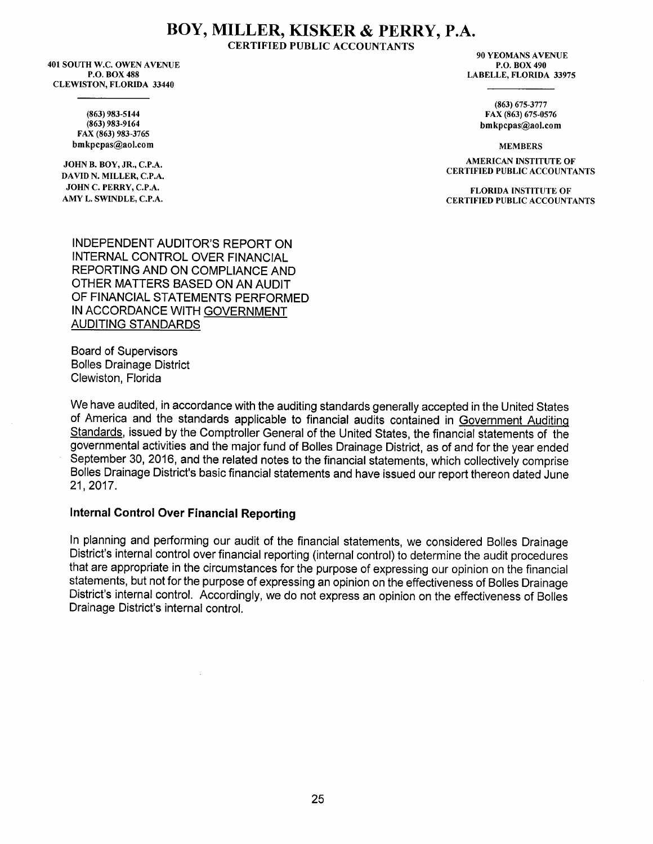# BOY, MILLER, KISKER & PERRY, P.A.

**CERTIFIED PUBLIC ACCOUNTANTS** 

**401 SOUTH W.C. OWEN AVENUE P.O. BOX 488 CLEWISTON, FLORIDA 33440** 

> (863) 983-5144  $(863)$  983-9164 FAX (863) 983-3765

bmkpcpas@aol.com

JOHN B. BOY, JR., C.P.A. DAVID N. MILLER, C.P.A. JOHN C. PERRY, C.P.A. AMY L. SWINDLE, C.P.A.

**90 YEOMANS AVENUE** P.O. BOX 490 **LABELLE, FLORIDA 33975** 

> $(863) 675 - 3777$ FAX (863) 675-0576 bmkpcpas@aol.com

> > **MEMBERS**

**AMERICAN INSTITUTE OF CERTIFIED PUBLIC ACCOUNTANTS** 

**FLORIDA INSTITUTE OF CERTIFIED PUBLIC ACCOUNTANTS** 

**INDEPENDENT AUDITOR'S REPORT ON** INTERNAL CONTROL OVER FINANCIAL REPORTING AND ON COMPLIANCE AND OTHER MATTERS BASED ON AN AUDIT OF FINANCIAL STATEMENTS PERFORMED IN ACCORDANCE WITH GOVERNMENT **AUDITING STANDARDS** 

**Board of Supervisors Bolles Drainage District** Clewiston, Florida

We have audited, in accordance with the auditing standards generally accepted in the United States of America and the standards applicable to financial audits contained in Government Auditing Standards, issued by the Comptroller General of the United States, the financial statements of the governmental activities and the major fund of Bolles Drainage District, as of and for the year ended September 30, 2016, and the related notes to the financial statements, which collectively comprise Bolles Drainage District's basic financial statements and have issued our report thereon dated June 21, 2017.

# **Internal Control Over Financial Reporting**

In planning and performing our audit of the financial statements, we considered Bolles Drainage District's internal control over financial reporting (internal control) to determine the audit procedures that are appropriate in the circumstances for the purpose of expressing our opinion on the financial statements, but not for the purpose of expressing an opinion on the effectiveness of Bolles Drainage District's internal control. Accordingly, we do not express an opinion on the effectiveness of Bolles Drainage District's internal control.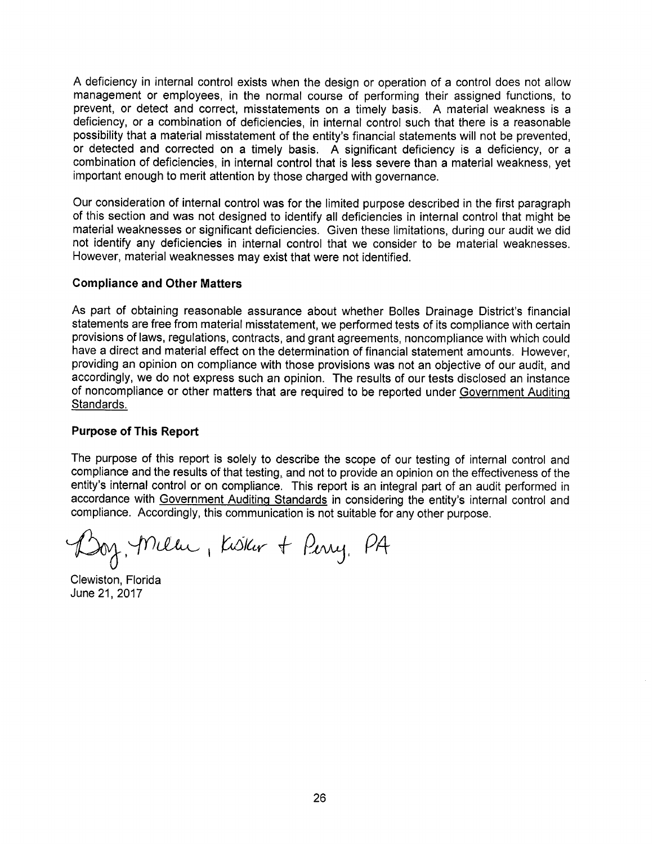A deficiency in internal control exists when the design or operation of a control does not allow management or employees, in the normal course of performing their assigned functions, to prevent, or detect and correct, misstatements on a timely basis. A material weakness is a deficiency, or a combination of deficiencies, in internal control such that there is a reasonable possibility that a material misstatement of the entity's financial statements will not be prevented. or detected and corrected on a timely basis. A significant deficiency is a deficiency, or a combination of deficiencies, in internal control that is less severe than a material weakness, yet important enough to merit attention by those charged with governance.

Our consideration of internal control was for the limited purpose described in the first paragraph of this section and was not designed to identify all deficiencies in internal control that might be material weaknesses or significant deficiencies. Given these limitations, during our audit we did not identify any deficiencies in internal control that we consider to be material weaknesses. However, material weaknesses may exist that were not identified.

## **Compliance and Other Matters**

As part of obtaining reasonable assurance about whether Bolles Drainage District's financial statements are free from material misstatement, we performed tests of its compliance with certain provisions of laws, regulations, contracts, and grant agreements, noncompliance with which could have a direct and material effect on the determination of financial statement amounts. However, providing an opinion on compliance with those provisions was not an objective of our audit, and accordingly, we do not express such an opinion. The results of our tests disclosed an instance of noncompliance or other matters that are required to be reported under Government Auditing Standards.

# **Purpose of This Report**

The purpose of this report is solely to describe the scope of our testing of internal control and compliance and the results of that testing, and not to provide an opinion on the effectiveness of the entity's internal control or on compliance. This report is an integral part of an audit performed in accordance with Government Auditing Standards in considering the entity's internal control and compliance. Accordingly, this communication is not suitable for any other purpose.

Boy, Miller, Kisker & Perry, PA

Clewiston, Florida June 21, 2017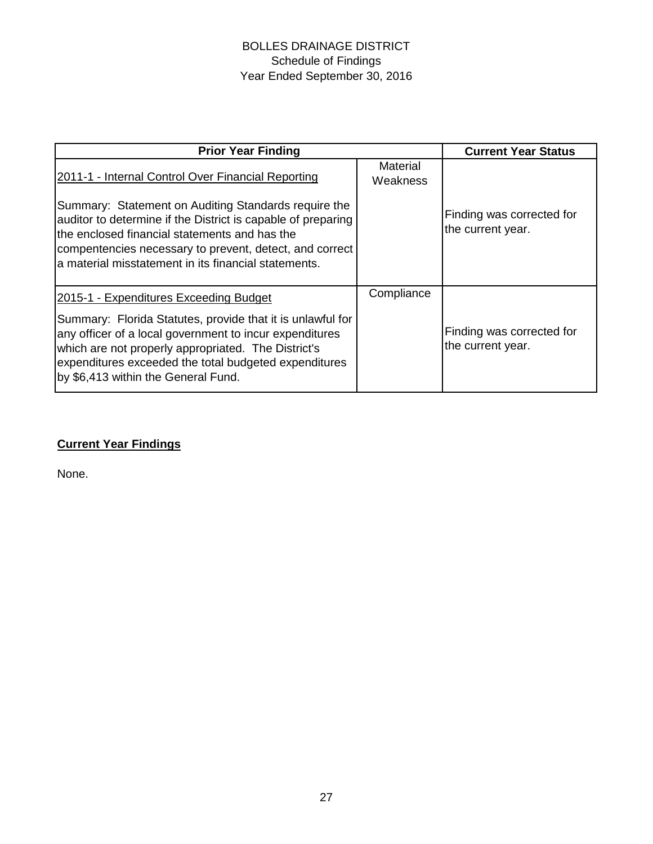# BOLLES DRAINAGE DISTRICT Schedule of Findings Year Ended September 30, 2016

| <b>Prior Year Finding</b>                                                                                                                                                                                                                                                                | <b>Current Year Status</b> |                                                |
|------------------------------------------------------------------------------------------------------------------------------------------------------------------------------------------------------------------------------------------------------------------------------------------|----------------------------|------------------------------------------------|
| 2011-1 - Internal Control Over Financial Reporting                                                                                                                                                                                                                                       | Material<br>Weakness       |                                                |
| Summary: Statement on Auditing Standards require the<br>auditor to determine if the District is capable of preparing<br>the enclosed financial statements and has the<br>compentencies necessary to prevent, detect, and correct<br>a material misstatement in its financial statements. |                            | Finding was corrected for<br>the current year. |
| 2015-1 - Expenditures Exceeding Budget                                                                                                                                                                                                                                                   | Compliance                 |                                                |
| Summary: Florida Statutes, provide that it is unlawful for<br>any officer of a local government to incur expenditures<br>which are not properly appropriated. The District's<br>expenditures exceeded the total budgeted expenditures<br>by \$6,413 within the General Fund.             |                            | Finding was corrected for<br>the current year. |

# **Current Year Findings**

None.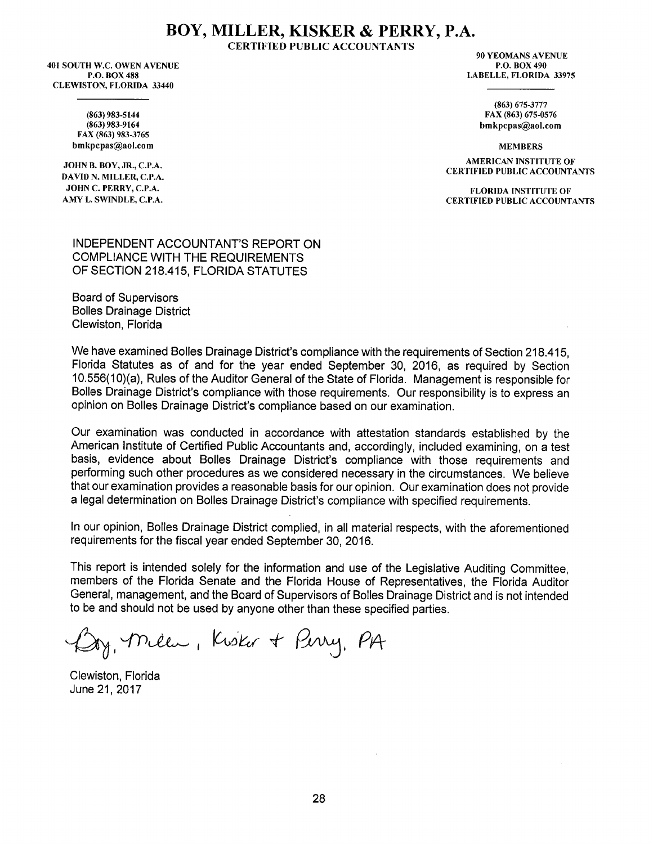# BOY, MILLER, KISKER & PERRY, P.A.

**CERTIFIED PUBLIC ACCOUNTANTS** 

**401 SOUTH W.C. OWEN AVENUE** P.O. BOX 488 **CLEWISTON, FLORIDA 33440** 

> (863) 983-5144  $(863)$  983-9164 FAX (863) 983-3765 bmkpcpas@aol.com

JOHN B. BOY, JR., C.P.A. DAVID N. MILLER, C.P.A. JOHN C. PERRY, C.P.A. AMY L. SWINDLE, C.P.A.

90 YEOMANS AVENUE P.O. BOX 490 **LABELLE, FLORIDA 33975** 

> (863) 675-3777 FAX (863) 675-0576 bmkpcpas@aol.com

> > **MEMBERS**

**AMERICAN INSTITUTE OF CERTIFIED PUBLIC ACCOUNTANTS** 

**FLORIDA INSTITUTE OF CERTIFIED PUBLIC ACCOUNTANTS** 

#### **INDEPENDENT ACCOUNTANT'S REPORT ON COMPLIANCE WITH THE REQUIREMENTS** OF SECTION 218.415, FLORIDA STATUTES

**Board of Supervisors Bolles Drainage District** Clewiston, Florida

We have examined Bolles Drainage District's compliance with the requirements of Section 218,415. Florida Statutes as of and for the year ended September 30, 2016, as required by Section 10.556(10)(a), Rules of the Auditor General of the State of Florida. Management is responsible for Bolles Drainage District's compliance with those requirements. Our responsibility is to express an opinion on Bolles Drainage District's compliance based on our examination.

Our examination was conducted in accordance with attestation standards established by the American Institute of Certified Public Accountants and, accordingly, included examining, on a test basis, evidence about Bolles Drainage District's compliance with those requirements and performing such other procedures as we considered necessary in the circumstances. We believe that our examination provides a reasonable basis for our opinion. Our examination does not provide a legal determination on Bolles Drainage District's compliance with specified requirements.

In our opinion, Bolles Drainage District complied, in all material respects, with the aforementioned requirements for the fiscal year ended September 30, 2016.

This report is intended solely for the information and use of the Legislative Auditing Committee. members of the Florida Senate and the Florida House of Representatives, the Florida Auditor General, management, and the Board of Supervisors of Bolles Drainage District and is not intended to be and should not be used by anyone other than these specified parties.

Sy, Milen, Kisker & Perry, PA

Clewiston, Florida June 21, 2017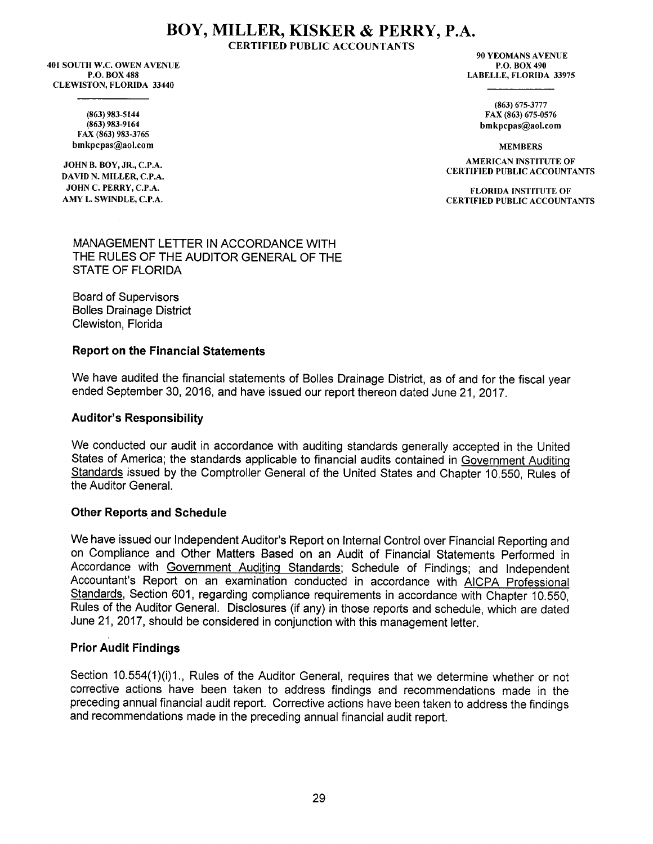# BOY, MILLER, KISKER & PERRY, P.A.

**CERTIFIED PUBLIC ACCOUNTANTS** 

401 SOUTH W.C. OWEN AVENUE **P.O. BOX 488 CLEWISTON, FLORIDA 33440** 

> (863) 983-5144  $(863)$  983-9164 FAX (863) 983-3765 bmkpcpas@aol.com

JOHN B. BOY, JR., C.P.A. DAVID N. MILLER, C.P.A. JOHN C. PERRY, C.P.A. AMY L. SWINDLE, C.P.A.

**90 YEOMANS AVENUE** P.O. BOX 490 **LABELLE, FLORIDA 33975** 

> (863) 675-3777 FAX (863) 675-0576 bmkpcpas@aol.com

> > **MEMBERS**

**AMERICAN INSTITUTE OF CERTIFIED PUBLIC ACCOUNTANTS** 

**FLORIDA INSTITUTE OF CERTIFIED PUBLIC ACCOUNTANTS** 

### MANAGEMENT LETTER IN ACCORDANCE WITH THE RULES OF THE AUDITOR GENERAL OF THE **STATE OF FLORIDA**

**Board of Supervisors Bolles Drainage District** Clewiston, Florida

## **Report on the Financial Statements**

We have audited the financial statements of Bolles Drainage District, as of and for the fiscal year ended September 30, 2016, and have issued our report thereon dated June 21, 2017.

### **Auditor's Responsibility**

We conducted our audit in accordance with auditing standards generally accepted in the United States of America; the standards applicable to financial audits contained in Government Auditing Standards issued by the Comptroller General of the United States and Chapter 10.550, Rules of the Auditor General.

# **Other Reports and Schedule**

We have issued our Independent Auditor's Report on Internal Control over Financial Reporting and on Compliance and Other Matters Based on an Audit of Financial Statements Performed in Accordance with Government Auditing Standards; Schedule of Findings; and Independent Accountant's Report on an examination conducted in accordance with AICPA Professional Standards, Section 601, regarding compliance requirements in accordance with Chapter 10.550. Rules of the Auditor General. Disclosures (if any) in those reports and schedule, which are dated June 21, 2017, should be considered in conjunction with this management letter.

# **Prior Audit Findings**

Section 10.554(1)(i)1., Rules of the Auditor General, requires that we determine whether or not corrective actions have been taken to address findings and recommendations made in the preceding annual financial audit report. Corrective actions have been taken to address the findings and recommendations made in the preceding annual financial audit report.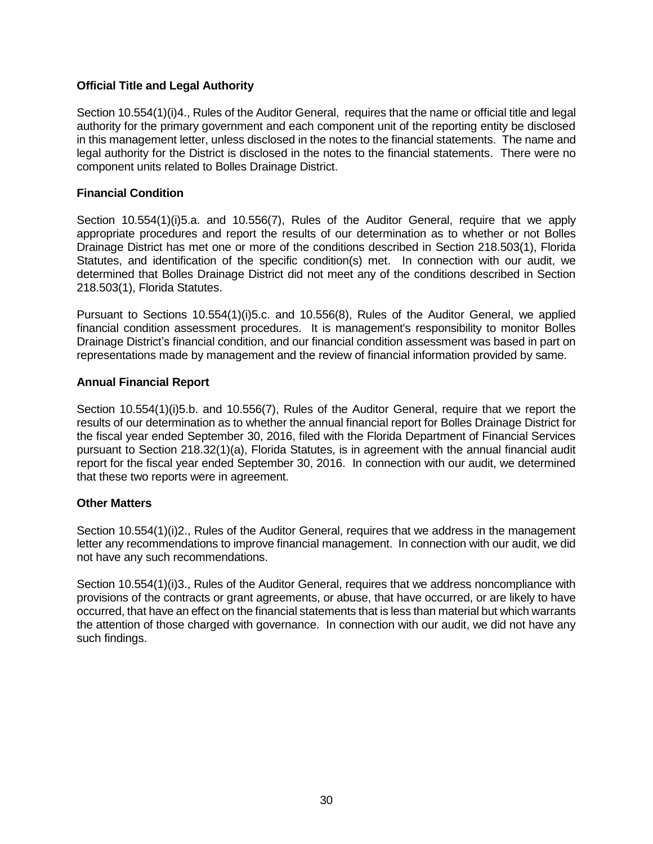# **Official Title and Legal Authority**

Section 10.554(1)(i)4., Rules of the Auditor General, requires that the name or official title and legal authority for the primary government and each component unit of the reporting entity be disclosed in this management letter, unless disclosed in the notes to the financial statements. The name and legal authority for the District is disclosed in the notes to the financial statements. There were no component units related to Bolles Drainage District.

## **Financial Condition**

Section 10.554(1)(i)5.a. and 10.556(7), Rules of the Auditor General, require that we apply appropriate procedures and report the results of our determination as to whether or not Bolles Drainage District has met one or more of the conditions described in Section 218.503(1), Florida Statutes, and identification of the specific condition(s) met. In connection with our audit, we determined that Bolles Drainage District did not meet any of the conditions described in Section 218.503(1), Florida Statutes.

Pursuant to Sections 10.554(1)(i)5.c. and 10.556(8), Rules of the Auditor General, we applied financial condition assessment procedures. It is management's responsibility to monitor Bolles Drainage District's financial condition, and our financial condition assessment was based in part on representations made by management and the review of financial information provided by same.

## **Annual Financial Report**

Section 10.554(1)(i)5.b. and 10.556(7), Rules of the Auditor General, require that we report the results of our determination as to whether the annual financial report for Bolles Drainage District for the fiscal year ended September 30, 2016, filed with the Florida Department of Financial Services pursuant to Section 218.32(1)(a), Florida Statutes, is in agreement with the annual financial audit report for the fiscal year ended September 30, 2016. In connection with our audit, we determined that these two reports were in agreement.

# **Other Matters**

Section 10.554(1)(i)2., Rules of the Auditor General, requires that we address in the management letter any recommendations to improve financial management. In connection with our audit, we did not have any such recommendations.

Section 10.554(1)(i)3., Rules of the Auditor General, requires that we address noncompliance with provisions of the contracts or grant agreements, or abuse, that have occurred, or are likely to have occurred, that have an effect on the financial statements that is less than material but which warrants the attention of those charged with governance. In connection with our audit, we did not have any such findings.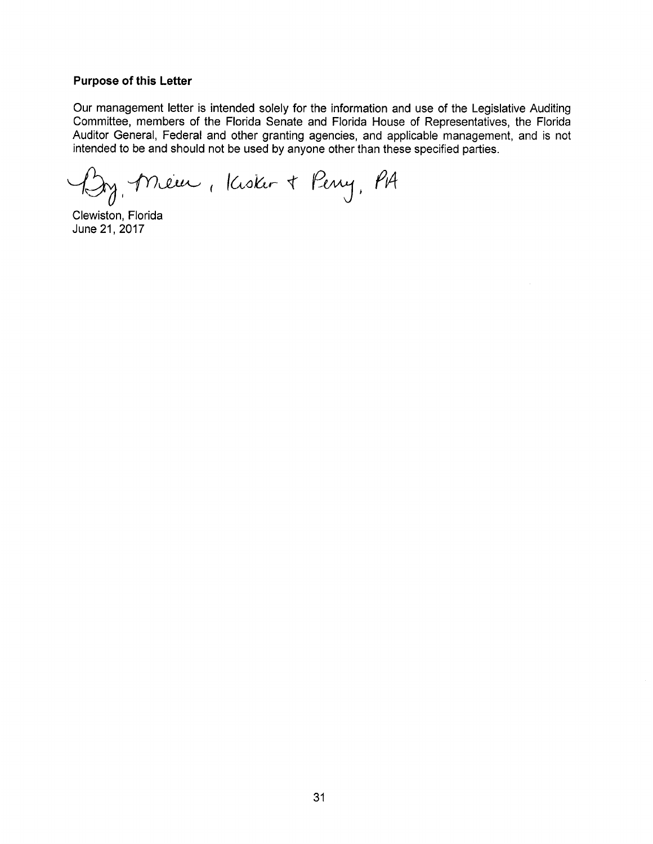#### **Purpose of this Letter**

Our management letter is intended solely for the information and use of the Legislative Auditing Committee, members of the Florida Senate and Florida House of Representatives, the Florida Auditor General, Federal and other granting agencies, and applicable management, and is not intended to be and should not be used by anyone other than these specified parties.

By Meur, Kisker & Perry, PA

Clewiston, Florida June 21, 2017